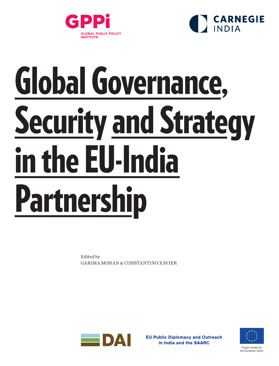



# Global Governance, **Security and Strategy** in the EU-India Partnership

Edited by GARIMA MOHAN & CONSTANTINO XAVIER



EU Public Diplomacy and Outreach in India and the SAARC

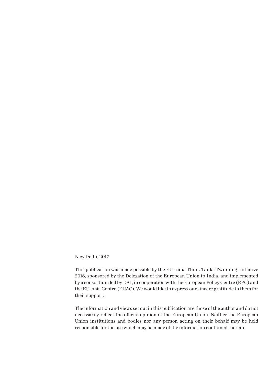New Delhi, 2017

This publication was made possible by the EU India Think Tanks Twinning Initiative 2016, sponsored by the Delegation of the European Union to India, and implemented by a consortium led by DAI, in cooperation with the European Policy Centre (EPC) and the EU-Asia Centre (EUAC). We would like to express our sincere gratitude to them for their support.

The information and views set out in this publication are those of the author and do not necessarily reflect the official opinion of the European Union. Neither the European Union institutions and bodies nor any person acting on their behalf may be held responsible for the use which may be made of the information contained therein.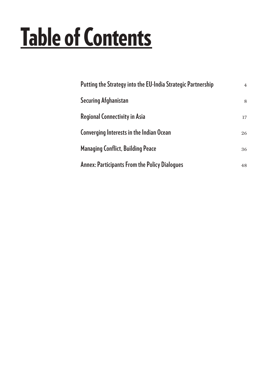## **Table of Contents**

| Putting the Strategy into the EU-India Strategic Partnership | $\overline{4}$ |
|--------------------------------------------------------------|----------------|
| <b>Securing Afghanistan</b>                                  | 8              |
| <b>Regional Connectivity in Asia</b>                         | 17             |
| Converging Interests in the Indian Ocean                     | 26             |
| <b>Managing Conflict, Building Peace</b>                     | 36             |
| <b>Annex: Participants From the Policy Dialogues</b>         | 48             |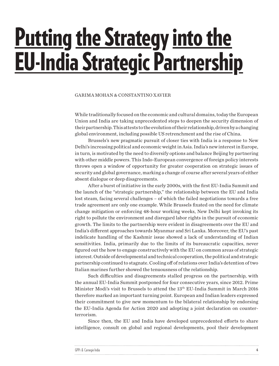## <span id="page-3-0"></span>**Putting the Strategy into the** EU-India Strategic Partnership

#### GARIMA MOHAN & CONSTANTINO XAVIER

While traditionally focused on the economic and cultural domains, today the European Union and India are taking unprecedented steps to deepen the security dimension of their partnership. This attests to the evolution of their relationship, driven by a changing global environment, including possible US retrenchment and the rise of China.

Brussels's new pragmatic pursuit of closer ties with India is a response to New Delhi's increasing political and economic weight in Asia. India's new interest in Europe, in turn, is motivated by the need to diversify options and balance Beijing by partnering with other middle powers. This Indo-European convergence of foreign policy interests throws open a window of opportunity for greater cooperation on strategic issues of security and global governance, marking a change of course after several years of either absent dialogue or deep disagreements.

After a burst of initiative in the early 2000s, with the first EU-India Summit and the launch of the "strategic partnership," the relationship between the EU and India lost steam, facing several challenges – of which the failed negotiations towards a free trade agreement are only one example. While Brussels fixated on the need for climate change mitigation or enforcing 48-hour working weeks, New Delhi kept invoking its right to pollute the environment and disregard labor rights in the pursuit of economic growth. The limits to the partnership were evident in disagreements over the EU and India's different approaches towards Myanmar and Sri Lanka. Moreover, the EU's past indelicate handling of the Kashmir issue showed a lack of understanding of Indian sensitivities. India, primarily due to the limits of its bureaucratic capacities, never figured out the how to engage constructively with the EU on common areas of strategic interest. Outside of developmental and technical cooperation, the political and strategic partnership continued to stagnate. Cooling off of relations over India's detention of two Italian marines further showed the tenuousness of the relationship.

Such difficulties and disagreements stalled progress on the partnership, with the annual EU-India Summit postponed for four consecutive years, since 2012. Prime Minister Modi's visit to Brussels to attend the 13th EU-India Summit in March 2016 therefore marked an important turning point. European and Indian leaders expressed their commitment to give new momentum to the bilateral relationship by endorsing the EU-India Agenda for Action 2020 and adopting a joint declaration on counterterrorism.

Since then, the EU and India have developed unprecedented efforts to share intelligence, consult on global and regional developments, pool their development

| GPPi & Carnegie India |  |
|-----------------------|--|
|                       |  |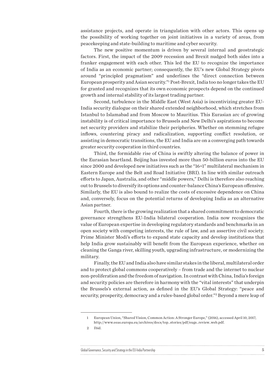assistance projects, and operate in triangulation with other actors. This opens up the possibility of working together on joint initiatives in a variety of areas, from peacekeeping and state-building to maritime and cyber security.

The new positive momentum is driven by several internal and geostrategic factors. First, the impact of the 2009 recession and Brexit nudged both sides into a franker engagement with each other. This led the EU to recognize the importance of India as an economic partner; consequently, the EU's new Global Strategy pivots around "principled pragmatism" and underlines the "direct connection between European prosperity and Asian security."1 Post-Brexit, India too no longer takes the EU for granted and recognizes that its own economic prospects depend on the continued growth and internal stability of its largest trading partner.

Second, turbulence in the Middle East (West Asia) is incentivizing greater EU-India security dialogue on their shared extended neighborhood, which stretches from Istanbul to Islamabad and from Moscow to Mauritius. This Eurasian arc of growing instability is of critical importance to Brussels and New Delhi's aspirations to become net security providers and stabilize their peripheries. Whether on stemming refugee inflows, countering piracy and radicalization, supporting conflict resolution, or assisting in democratic transitions, the EU and India are on a converging path towards greater security cooperation in third countries.

Third, the formidable rise of China is swiftly altering the balance of power in the Eurasian heartland. Beijing has invested more than 50-billion euros into the EU since 2000 and developed new initiatives such as the "16+1" multilateral mechanism in Eastern Europe and the Belt and Road Initiative (BRI). In line with similar outreach efforts to Japan, Australia, and other "middle powers," Delhi is therefore also reaching out to Brussels to diversify its options and counter-balance China's European offensive. Similarly, the EU is also bound to realize the costs of excessive dependence on China and, conversely, focus on the potential returns of developing India as an alternative Asian partner.

Fourth, there is the growing realization that a shared commitment to democratic governance strengthens EU-India bilateral cooperation. India now recognizes the value of European expertise in developing regulatory standards and benchmarks in an open society with competing interests, the rule of law, and an assertive civil society. Prime Minister Modi's efforts to expand state capacity and develop institutions that help India grow sustainably will benefit from the European experience, whether on cleaning the Ganga river, skilling youth, upgrading infrastructure, or modernizing the military.

Finally, the EU and India also have similar stakes in the liberal, multilateral order and to protect global commons cooperatively – from trade and the internet to nuclear non-proliferation and the freedom of navigation. In contrast with China, India's foreign and security policies are therefore in harmony with the "vital interests" that underpin the Brussels's external action, as defined in the EU's Global Strategy: "peace and security, prosperity, democracy and a rules-based global order."<sup>2</sup> Beyond a mere leap of

2 [Ibid.](http://www.eeas.europa.eu/archives/docs/top_stories/pdf/eugs_review_web.pdf)

#### Global Governance, Security and Strategy in the EU-India Partnership 5

<sup>1</sup> European Union, "Shared Vision, Common Action: A Stronger Europe," (2016), accessed April 10, 2017, [http://www.eeas.europa.eu/archives/docs/top\\_stories/pdf/eugs\\_review\\_web.pdf](http://www.eeas.europa.eu/archives/docs/top_stories/pdf/eugs_review_web.pdf).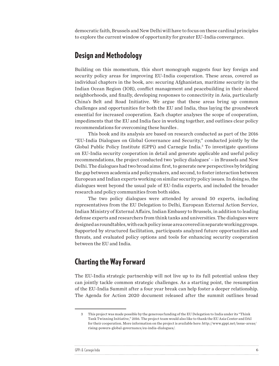democratic faith, Brussels and New Delhi will have to focus on these cardinal principles to explore the current window of opportunity for greater EU-India convergence.

#### Design and Methodology

Building on this momentum, this short monograph suggests four key foreign and security policy areas for improving EU-India cooperation. These areas, covered as individual chapters in the book, are: securing Afghanistan, maritime security in the Indian Ocean Region (IOR), conflict management and peacebuilding in their shared neighborhoods, and finally, developing responses to connectivity in Asia, particularly China's Belt and Road Initiative. We argue that these areas bring up common challenges and opportunities for both the EU and India, thus laying the groundwork essential for increased cooperation. Each chapter analyses the scope of cooperation, impediments that the EU and India face in working together, and outlines clear policy recommendations for overcoming these hurdles .

This book and its analysis are based on research conducted as part of the 2016 "EU-India Dialogues on Global Governance and Security," conducted jointly by the Global Public Policy Institute (GPPi) and Carnegie India.<sup>3</sup> To investigate questions on EU-India security cooperation in detail and generate applicable and useful policy recommendations, the project conducted two 'policy dialogues' – in Brussels and New Delhi. The dialogues had two broad aims: first, to generate new perspectives by bridging the gap between academia and policymakers, and second, to foster interaction between European and Indian experts working on similar security policy issues. In doing so, the dialogues went beyond the usual pale of EU-India experts, and included the broader research and policy communities from both sides.

The two policy dialogues were attended by around 50 experts, including representatives from the EU Delegation to Delhi, European External Action Service, Indian Ministry of External Affairs, Indian Embassy to Brussels, in addition to leading defense experts and researchers from think tanks and universities. The dialogues were designed as roundtables, with each policy issue area covered in separate working groups. Supported by structured facilitation, participants analyzed future opportunities and threats, and evaluated policy options and tools for enhancing security cooperation between the EU and India.

#### Charting the Way Forward

 $\ddot{\phantom{a}}$ 

The EU-India strategic partnership will not live up to its full potential unless they can jointly tackle common strategic challenges. As a starting point, the resumption of the EU-India Summit after a four year break can help foster a deeper relationship. The Agenda for Action 2020 document released after the summit outlines broad

| GPPi & |  |
|--------|--|
|        |  |

<sup>3</sup> This project was made possible by the generous funding of the EU Delegation to India under its "Think Tank Twinning Initiative," 2016. The project team would also like to thank the EU Asia Center and DAI for their cooperation. More information on the project is available here: [http://www.gppi.net/issue-areas/](http://www.gppi.net/issue-areas/rising-powers-global-governance/eu-india-dialogues/) [rising-powers-global-governance/eu-india-dialogues/](http://www.gppi.net/issue-areas/rising-powers-global-governance/eu-india-dialogues/).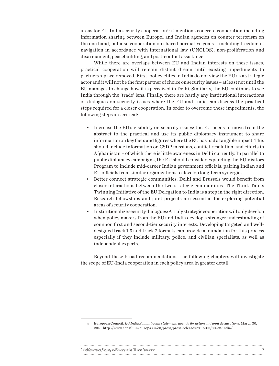areas for EU-India security cooperation<sup>4</sup>: it mentions concrete cooperation including information sharing between Europol and Indian agencies on counter terrorism on the one hand, but also cooperation on shared normative goals – including freedom of navigation in accordance with international law (UNCLOS), non-proliferation and disarmament, peacebuilding, and post-conflict assistance.

While there are overlaps between EU and Indian interests on these issues, practical cooperation will remain distant dream until existing impediments to partnership are removed. First, policy elites in India do not view the EU as a strategic actor and it will not be the first partner of choice on security issues – at least not until the EU manages to change how it is perceived in Delhi. Similarly, the EU continues to see India through the 'trade' lens. Finally, there are hardly any institutional interactions or dialogues on security issues where the EU and India can discuss the practical steps required for a closer cooperation. In order to overcome these impediments, the following steps are critical:

- Increase the EU's visibility on security issues: the EU needs to move from the abstract to the practical and use its public diplomacy instrument to share information on key facts and figures where the EU has had a tangible impact. This should include information on CSDP missions, conflict resolution, and efforts in Afghanistan – of which there is little awareness in Delhi currently. In parallel to public diplomacy campaigns, the EU should consider expanding the EU Visitors Program to include mid-career Indian government officials, pairing Indian and EU officials from similar organizations to develop long-term synergies.
- Better connect strategic communities: Delhi and Brussels would benefit from closer interactions between the two strategic communities. The Think Tanks Twinning Initiative of the EU Delegation to India is a step in the right direction. Research fellowships and joint projects are essential for exploring potential areas of security cooperation.
- Institutionalize security dialogues: A truly strategic cooperation will only develop when policy makers from the EU and India develop a stronger understanding of common first and second-tier security interests. Developing targeted and welldesigned track 1.5 and track 2 formats can provide a foundation for this process especially if they include military, police, and civilian specialists, as well as independent experts.

Beyond these broad recommendations, the following chapters will investigate the scope of EU-India cooperation in each policy area in greater detail.

<sup>4</sup> European Council, *EU India Summit: joint statement, agenda for action and joint declarations*, March 30, 2016. [http://www.consilium.europa.eu/en/press/press-releases/2016/03/30-eu-india/.](http://www.consilium.europa.eu/en/press/press-releases/2016/03/30-eu-india/)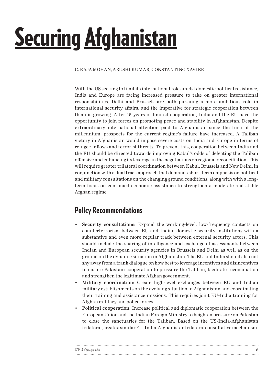## <span id="page-7-0"></span>**Securing Afghanistan**

#### C. RAJA MOHAN, ARUSHI KUMAR, CONSTANTINO XAVIER

With the US seeking to limit its international role amidst domestic political resistance, India and Europe are facing increased pressure to take on greater international responsibilities. Delhi and Brussels are both pursuing a more ambitious role in international security affairs, and the imperative for strategic cooperation between them is growing. After 15 years of limited cooperation, India and the EU have the opportunity to join forces on promoting peace and stability in Afghanistan. Despite extraordinary international attention paid to Afghanistan since the turn of the millennium, prospects for the current regime's failure have increased. A Taliban victory in Afghanistan would impose severe costs on India and Europe in terms of refugee inflows and terrorist threats. To prevent this, cooperation between India and the EU should be directed towards improving Kabul's odds of defeating the Taliban offensive and enhancing its leverage in the negotiations on regional reconciliation. This will require greater trilateral coordination between Kabul, Brussels and New Delhi, in conjunction with a dual track approach that demands short-term emphasis on political and military consultations on the changing ground conditions, along with with a longterm focus on continued economic assistance to strengthen a moderate and stable Afghan regime.

### Policy Recommendations

- Security consultations: Expand the working-level, low-frequency contacts on counterterrorism between EU and Indian domestic security institutions with a substantive and even more regular track between external security actors. This should include the sharing of intelligence and exchange of assessments between Indian and European security agencies in Brussels and Delhi as well as on the ground on the dynamic situation in Afghanistan. The EU and India should also not shy away from a frank dialogue on how best to leverage incentives and disincentives to ensure Pakistani cooperation to pressure the Taliban, facilitate reconciliation and strengthen the legitimate Afghan government.
- Military coordination: Create high-level exchanges between EU and Indian military establishments on the evolving situation in Afghanistan and coordinating their training and assistance missions. This requires joint EU-India training for Afghan military and police forces.
- Political cooperation: Increase political and diplomatic cooperation between the European Union and the Indian Foreign Ministry to heighten pressure on Pakistan to close the sanctuaries for the Taliban. Based on the US-India-Afghanistan trilateral, create a similar EU-India-Afghanistan trilateral consultative mechanism.

| GPPi & Carnegie India |  |
|-----------------------|--|
|                       |  |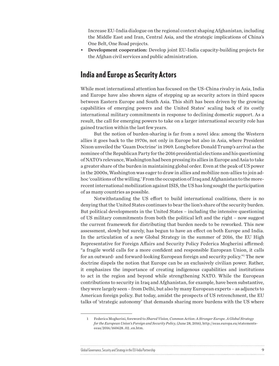Increase EU-India dialogue on the regional context shaping Afghanistan, including the Middle East and Iran, Central Asia, and the strategic implications of China's One Belt, One Road projects.

• Development cooperation: Develop joint EU-India capacity-building projects for the Afghan civil services and public administration.

#### India and Europe as Security Actors

While most international attention has focused on the US-China rivalry in Asia, India and Europe have also shown signs of stepping up as security actors in third spaces between Eastern Europe and South Asia. This shift has been driven by the growing capabilities of emerging powers and the United States' scaling back of its costly international military commitments in response to declining domestic support. As a result, the call for emerging powers to take on a larger international security role has gained traction within the last few years.

But the notion of burden-sharing is far from a novel idea: among the Western allies it goes back to the 1970s, not only in Europe but also in Asia, where President Nixon unveiled the 'Guam Doctrine' in 1969. Long before Donald Trump's arrival as the nominee of the Republican Party for the 2016 presidential elections and his questioning of NATO's relevance, Washington had been pressing its allies in Europe and Asia to take a greater share of the burden in maintaining global order. Even at the peak of US power in the 2000s, Washington was eager to draw in allies and mobilize non-allies to join adhoc 'coalitions of the willing.' From the occupation of Iraq and Afghanistan to the morerecent international mobilization against ISIS, the US has long sought the participation of as many countries as possible.

Notwithstanding the US effort to build international coalitions, there is no denying that the United States continues to bear the lion's share of the security burden. But political developments in the United States – including the intensive questioning of US military commitments from both the political left and the right – now suggest the current framework for distributing that burden needs to be reworked. This new assessment, slowly but surely, has begun to have an effect on both Europe and India. In the articulation of a new Global Strategy in the summer of 2016, the EU High Representative for Foreign Affairs and Security Policy Federica Mogherini affirmed: "a fragile world calls for a more confident and responsible European Union, it calls for an outward- and forward-looking European foreign and security policy."1 The new doctrine dispels the notion that Europe can be an exclusively civilian power. Rather, it emphasizes the importance of creating indigenous capabilities and institutions to act in the region and beyond while strengthening NATO. While the European contributions to security in Iraq and Afghanistan, for example, have been substantive, they were largely seen – from Delhi, but also by many European experts – as adjuncts to American foreign policy. But today, amidst the prospects of US retrenchment, the EU talks of 'strategic autonomy' that demands sharing more burdens with the US where

<sup>1</sup> Federica Mogherini, foreword to *Shared Vision, Common Action: A Stronger Europe. A Global Strategy for the European Union's Foreign and Security Policy*, (June 28, 2016), [http://eeas.europa.eu/statements](http://eeas.europa.eu/statements-eeas/2016/160628_02_en.htm)[eeas/2016/160628\\_02\\_en.htm.](http://eeas.europa.eu/statements-eeas/2016/160628_02_en.htm)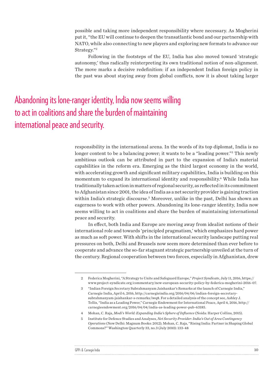possible and taking more independent responsibility where necessary. As Mogherini put it, "the EU will continue to deepen the transatlantic bond and our partnership with NATO, while also connecting to new players and exploring new formats to advance our Strategy."2

Following in the footsteps of the EU, India has also moved toward 'strategic autonomy,' thus radically reinterpreting its own traditional notion of non-alignment. The move marks a decisive redefinition: if an independent Indian foreign policy in the past was about staying away from global conflicts, now it is about taking larger

## Abandoning its lone-ranger identity, India now seems willing to act in coalitions and share the burden of maintaining international peace and security.

 $\ddot{\phantom{a}}$ 

responsibility in the international arena. In the words of its top diplomat, India is no longer content to be a balancing power; it wants to be a "leading power."3 This newly ambitious outlook can be attributed in part to the expansion of India's material capabilities in the reform era. Emerging as the third largest economy in the world, with accelerating growth and significant military capabilities, India is building on this momentum to expand its international identity and responsibility.4 While India has traditionally taken action in matters of regional security, as reflected in its commitment to Afghanistan since 2001, the idea of India as a net security provider is gaining traction within India's strategic discourse.5 Moreover, unlike in the past, Delhi has shown an eagerness to work with other powers. Abandoning its lone-ranger identity, India now seems willing to act in coalitions and share the burden of maintaining international peace and security.

In effect, both India and Europe are moving away from idealist notions of their international role and towards 'principled pragmatism,' which emphasizes hard power as much as soft power. With shifts in the international security landscape putting real pressures on both, Delhi and Brussels now seem more determined than ever before to cooperate and advance the so-far stagnant strategic partnership unveiled at the turn of the century. Regional cooperation between two forces, especially in Afghanistan, drew

| GPPi & Carnegie India |  |
|-----------------------|--|
|                       |  |

<sup>2</sup> Federica Mogherini, "A Strategy to Unite and Safeguard Europe," *Project Syndicate*, July 11, 2016, [https://](https://www.project-syndicate.org/commentary/new-european-security-policy-by-federica-mogherini-2016-07) [www.project-syndicate.org/commentary/new-european-security-policy-by-federica-mogherini-2016-07.](https://www.project-syndicate.org/commentary/new-european-security-policy-by-federica-mogherini-2016-07)

<sup>3</sup> "Indian Foreign Secretary Subrahmanyam Jaishankar's Remarks at the launch of Carnegie India," Carnegie India, April 6, 2016, [http://carnegieindia.org/2016/04/06/indian-foreign-secretary](http://carnegieindia.org/2016/04/06/indian-foreign-secretary-subrahmanyam-jaishankar-s-remarks/iwq8)[subrahmanyam-jaishankar-s-remarks/iwq8.](http://carnegieindia.org/2016/04/06/indian-foreign-secretary-subrahmanyam-jaishankar-s-remarks/iwq8) For a detailed analysis of the concept see, Ashley J. Tellis, "India as a Leading Power," Carnegie Endowment for International Peace, April 4, 2016, [http://](http://carnegieendowment.org/2016/04/04/india-as-leading-power-pub-63185) [carnegieendowment.org/2016/04/04/india-as-leading-power-pub-63185.](http://carnegieendowment.org/2016/04/04/india-as-leading-power-pub-63185)

<sup>4</sup> Mohan, C. Raja, *Modi's World: Expanding India's Sphere of Influence* (Noida: Harper Collins, 2015).

<sup>5</sup> Institute for Defence Studies and Analyses, *Net Security Provider: India's Out of Area Contingency Operations* (New Delhi: Magnum Books: 2012); Mohan, C. Raja, "Rising India: Partner in Shaping Global Commons?" Washington Quarterly 33, no.3 (July 2010): 133-48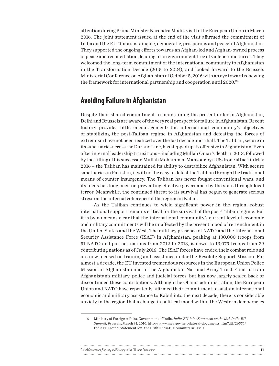attention during Prime Minister Narendra Modi's visit to the European Union in March 2016. The joint statement issued at the end of the visit affirmed the commitment of India and the EU "for a sustainable, democratic, prosperous and peaceful Afghanistan. They supported the ongoing efforts towards an Afghan-led and Afghan-owned process of peace and reconciliation, leading to an environment free of violence and terror. They welcomed the long-term commitment of the international community to Afghanistan in the Transformation Decade (2015 to 2024), and looked forward to the Brussels Ministerial Conference on Afghanistan of October 5, 2016 with an eye toward renewing the framework for international partnership and cooperation until 2020."6

#### Avoiding Failure in Afghanistan

Despite their shared commitment to maintaining the present order in Afghanistan, Delhi and Brussels are aware of the very real prospect for failure in Afghanistan. Recent history provides little encouragement: the international community's objectives of stabilizing the post-Taliban regime in Afghanistan and defeating the forces of extremism have not been realized over the last decade and a half. The Taliban, secure in its sanctuaries across the Durand Line, has stepped up its offensive in Afghanistan. Even after internal leadership transitions – including Mullah Omar's death in 2013, followed by the killing of his successor, Mullah Mohammed Mansour by a US drone attack in May 2016 – the Taliban has maintained its ability to destabilize Afghanistan. With secure sanctuaries in Pakistan, it will not be easy to defeat the Taliban through the traditional means of counter insurgency. The Taliban has never fought conventional wars, and its focus has long been on preventing effective governance by the state through local terror. Meanwhile, the continued threat to its survival has begun to generate serious stress on the internal coherence of the regime in Kabul.

As the Taliban continues to wield significant power in the region, robust international support remains critical for the survival of the post-Taliban regime. But it is by no means clear that the international community's current level of economic and military commitments will be unaffected by the present mood of retrenchment in the United States and the West. The military presence of NATO and the International Security Assistance Force (ISAF) in Afghanistan, peaking at 130,000 troops from 51 NATO and partner nations from 2012 to 2013, is down to 13,079 troops from 39 contributing nations as of July 2016. The ISAF forces have ended their combat role and are now focused on training and assistance under the Resolute Support Mission. For almost a decade, the EU invested tremendous resources in the European Union Police Mission in Afghanistan and in the Afghanistan National Army Trust Fund to train Afghanistan's military, police and judicial forces, but has now largely scaled back or discontinued these contributions. Although the Obama administration, the European Union and NATO have repeatedly affirmed their commitment to sustain international economic and military assistance to Kabul into the next decade, there is considerable anxiety in the region that a change in political mood within the Western democracies

<sup>6</sup> Ministry of Foreign Affairs, Government of India, *India-EU Joint Statement on the 13th India-EU Summit, Brussels*, March 31, 2016, [http://www.mea.gov.in/bilateral-documents.htm?dtl/26576/](http://www.mea.gov.in/bilateral-documents.htm?dtl/26576/IndiaEU+Joint+Statement+on+the+13th+IndiaEU+Summit+Brussels) [IndiaEU+Joint+Statement+on+the+13th+IndiaEU+Summit+Brussels.](http://www.mea.gov.in/bilateral-documents.htm?dtl/26576/IndiaEU+Joint+Statement+on+the+13th+IndiaEU+Summit+Brussels)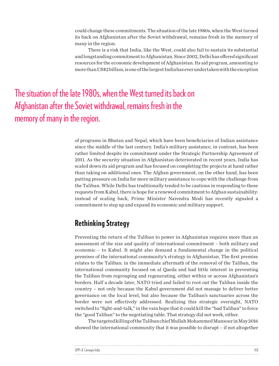could change these commitments. The situation of the late 1980s, when the West turned its back on Afghanistan after the Soviet withdrawal, remains fresh in the memory of many in the region.

There is a risk that India, like the West, could also fail to sustain its substantial and longstanding commitment to Afghanistan. Since 2002, Delhi has offered significant resources for the economic development of Afghanistan. Its aid program, amounting to more than US\$2 billion, is one of the largest India has ever undertaken with the exception

The situation of the late 1980s, when the West turned its back on Afghanistan after the Soviet withdrawal, remains fresh in the memory of many in the region.

> of programs in Bhutan and Nepal, which have been beneficiaries of Indian assistance since the middle of the last century. India's military assistance, in contrast, has been rather limited despite its commitment under the Strategic Partnership Agreement of 2011. As the security situation in Afghanistan deteriorated in recent years, India has scaled down its aid program and has focused on completing the projects at hand rather than taking on additional ones. The Afghan government, on the other hand, has been putting pressure on India for more military assistance to cope with the challenge from the Taliban. While Delhi has traditionally tended to be cautious in responding to these requests from Kabul, there is hope for a renewed commitment to Afghan sustainability: instead of scaling back, Prime Minister Narendra Modi has recently signaled a commitment to step up and expand its economic and military support.

### Rethinking Strategy

Preventing the return of the Taliban to power in Afghanistan requires more than an assessment of the size and quality of international commitment – both military and economic – to Kabul. It might also demand a fundamental change in the political premises of the international community's strategy in Afghanistan. The first premise relates to the Taliban: in the immediate aftermath of the removal of the Taliban, the international community focused on al Qaeda and had little interest in preventing the Taliban from regrouping and regenerating, either within or across Afghanistan's borders. Half a decade later, NATO tried and failed to root out the Taliban inside the country – not only because the Kabul government did not manage to deliver better governance on the local level, but also because the Taliban's sanctuaries across the border were not effectively addressed. Realizing this strategic oversight, NATO switched to "fight-and-talk," in the vain hope that it could kill the "bad Taliban" to force the "good Taliban" to the negotiating table. That strategy did not work, either.

The targeted killing of the Taliban chief Mullah Mohammed Mansour in May 2016 showed the international community that it was possible to disrupt – if not altogether

| GPPi & Carnegie India |  |
|-----------------------|--|
|                       |  |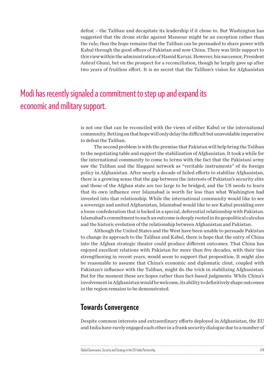defeat – the Taliban and decapitate its leadership if it chose to. But Washington has suggested that the drone strike against Mansour might be an exception rather than the rule; thus the hope remains that the Taliban can be persuaded to share power with Kabul through the good offices of Pakistan and now China. There was little support to this view within the administration of Hamid Karzai. However, his successor, President Ashraf Ghani, bet on the prospect for a reconciliation, though he largely gave up after two years of fruitless effort. It is no secret that the Taliban's vision for Afghanistan

### Modi has recently signaled a commitment to step up and expand its economic and military support.

is not one that can be reconciled with the views of either Kabul or the international community. Betting on that hope will only delay the difficult but unavoidable imperative to defeat the Taliban.

The second problem is with the premise that Pakistan will help bring the Taliban to the negotiating table and support the stabilization of Afghanistan. It took a while for the international community to come to terms with the fact that the Pakistani army saw the Taliban and the Haqqani network as "veritable instruments" of its foreign policy in Afghanistan. After nearly a decade of failed efforts to stabilize Afghanistan, there is a growing sense that the gap between the interests of Pakistan's security elite and those of the Afghan state are too large to be bridged, and the US needs to learn that its own influence over Islamabad is worth far less than what Washington had invested into that relationship. While the international community would like to see a sovereign and united Afghanistan, Islamabad would like to see Kabul presiding over a loose confederation that is locked in a special, deferential relationship with Pakistan. Islamabad's commitment to such an outcome is deeply rooted in its geopolitical calculus and the historic evolution of the relationship between Afghanistan and Pakistan.

Although the United States and the West have been unable to persuade Pakistan to change its approach to the Taliban and Kabul, there is hope that the entry of China into the Afghan strategic theater could produce different outcomes. That China has enjoyed excellent relations with Pakistan for more than five decades, with their ties strengthening in recent years, would seem to support that proposition. It might also be reasonable to assume that China's economic and diplomatic clout, coupled with Pakistan's influence with the Taliban, might do the trick in stabilizing Afghanistan. But for the moment these are hopes rather than fact-based judgments. While China's involvement in Afghanistan would be welcome, its ability to definitively shape outcomes in the region remains to be demonstrated.

#### Towards Convergence

Despite common interests and extraordinary efforts deployed in Afghanistan, the EU and India have rarely engaged each other in a frank security dialogue due to a number of

| Global Governance, Security and Strategy in the EU-India Partnership |  |
|----------------------------------------------------------------------|--|
|                                                                      |  |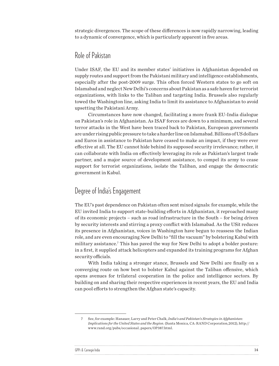strategic divergences. The scope of these differences is now rapidly narrowing, leading to a dynamic of convergence, which is particularly apparent in five areas.

#### Role of Pakistan

Under ISAF, the EU and its member states' initiatives in Afghanistan depended on supply routes and support from the Pakistani military and intelligence establishments, especially after the post-2009 surge. This often forced Western states to go soft on Islamabad and neglect New Delhi's concerns about Pakistan as a safe haven for terrorist organizations, with links to the Taliban and targeting India. Brussels also regularly towed the Washington line, asking India to limit its assistance to Afghanistan to avoid upsetting the Pakistani Army.

Circumstances have now changed, facilitating a more frank EU-India dialogue on Pakistan's role in Afghanistan. As ISAF forces are down to a minimum, and several terror attacks in the West have been traced back to Pakistan, European governments are under rising public pressure to take a harder line on Islamabad. Billions of US dollars and Euros in assistance to Pakistan have ceased to make an impact, if they were ever effective at all. The EU cannot hide behind its supposed security irrelevance; rather, it can collaborate with India on effectively leveraging its role as Pakistan's largest trade partner, and a major source of development assistance, to compel its army to cease support for terrorist organizations, isolate the Taliban, and engage the democratic government in Kabul.

#### Degree of India's Engagement

 $\ddotsc$ 

The EU's past dependence on Pakistan often sent mixed signals: for example, while the EU invited India to support state-building efforts in Afghanistan, it reproached many of its economic projects – such as road infrastructure in the South – for being driven by security interests and stirring a proxy conflict with Islamabad. As the USit reduces its presence in Afghanistan, voices in Washington have begun to reassess the Indian role, and are even encouraging New Delhi to "fill the vacuum" by bolstering Kabul with military assistance.<sup>7</sup> This has paved the way for New Delhi to adopt a bolder posture: in a first, it supplied attack helicopters and expanded its training programs for Afghan security officials.

With India taking a stronger stance, Brussels and New Delhi are finally on a converging route on how best to bolster Kabul against the Taliban offensive, which opens avenues for trilateral cooperation in the police and intelligence sectors. By building on and sharing their respective experiences in recent years, the EU and India can pool efforts to strengthen the Afghan state's capacity.

| GPPi & |  |
|--------|--|
|        |  |

<sup>7</sup> See, for example: Hanauer, Larry and Peter Chalk, *India's and Pakistan's Strategies in Afghanistan: Implications for the United States and the Region*. (Santa Monica, CA: RAND Corporation,2012), http:// www.rand.org/pubs/occasional\_papers/OP387.html.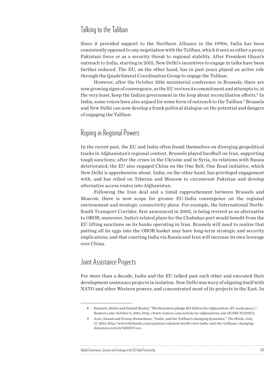#### Talking to the Taliban

Since it provided support to the Northern Alliance in the 1990s, India has been consistently opposed to any negotiation with the Taliban, which it sees as either a proxy Pakistani force or as a security threat to regional stability. After President Ghani's outreach to India, starting in 2015, New Delhi's incentives to engage in talks have been further reduced. The EU, on the other hand, has in past years played an active role through the Quadrilateral Coordination Group to engage the Taliban.

However, after the October 2016 ministerial conference in Brussels, there are now growing signs of convergence, as the EU revives its commitment and attempts to, at the very least, keep the Indian government in the loop about reconciliation efforts.<sup>8</sup> In India, some voices have also argued for some form of outreach to the Taliban.<sup>9</sup> Brussels and New Delhi can now develop a frank political dialogue on the potential and dangers of engaging the Taliban.

#### Roping in Regional Powers

In the recent past, the EU and India often found themselves on diverging geopolitical tracks in Afghanistan's regional context. Brussels played hardball on Iran, supporting tough sanctions; after the crises in the Ukraine and in Syria, its relations with Russia deteriorated; the EU also engaged China on the One Belt, One Road initiative, which New Delhi is apprehensive about. India, on the other hand, has privileged engagement with, and has relied on Teheran and Moscow to circumvent Pakistan and develop alternative access routes into Afghanistan.

Following the Iran deal and a timid rapprochement between Brussels and Moscow, there is now scope for greater EU-India convergence on the regional environment and strategic connectivity plans. For example, the International North-South Transport Corridor, first announced in 2002, is being revived as an alternative to OBOR; moreover, India's related plans for the Chabahar port would benefit from the EU lifting sanctions on its banks operating in Iran. Brussels will need to realize that putting all its eggs into the OBOR basket may have long-term strategic and security implications, and that courting India via Russia and Iran will increase its own leverage over China.

#### Joint Assistance Projects

For more than a decade, India and the EU talked past each other and executed their development assistance projects in isolation. New Delhi was wary of aligning itself with NATO and other Western powers, and concentrated most of its projects in the East. In

#### Global Governance, Security and Strategy in the EU-India Partnership 15 and 15 and 15 and 15 and 15 and 15 and 15 and 15 and 15 and 15 and 15 and 16 and 16 and 16 and 16 and 16 and 16 and 16 and 16 and 16 and 16 and 16 and

<sup>8</sup> Emmott, Robin and Hamid Shalizi, "World powers pledge \$15 billion for Afghanistan, EU seeks peace," Reuters.com, October 6, 2016,<http://www.reuters.com/article/us-afghanistan-aid-idUSKCN1250UI.>

<sup>9</sup> Arni, Anand and Pranay Kotasthane, "India, and the Taliban's changing dynamics," *The Hindu*, July 17, 2015, [http://www.thehindu.com/opinion/columns/world-view-india-and-the-talibans-changing](http://www.thehindu.com/opinion/columns/world-view-india-and-the-talibans-changing-dynamics/article7430357.ece)[dynamics/article7430357.ece.](http://www.thehindu.com/opinion/columns/world-view-india-and-the-talibans-changing-dynamics/article7430357.ece)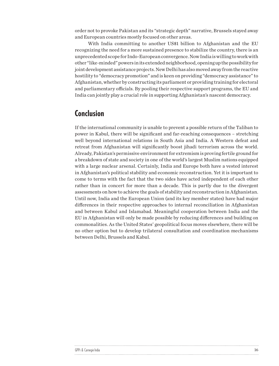order not to provoke Pakistan and its "strategic depth" narrative, Brussels stayed away and European countries mostly focused on other areas.

With India committing to another US\$1 billion to Afghanistan and the EU recognizing the need for a more sustained presence to stabilize the country, there is an unprecedented scope for Indo-European convergence. Now India is willing to work with other "like-minded" powers in its extended neighborhood, opening up the possibility for joint development assistance projects. New Delhi has also moved away from the reactive hostility to "democracy promotion" and is keen on providing "democracy assistance" to Afghanistan, whether by constructing its parliament or providing training for electoral and parliamentary officials. By pooling their respective support programs, the EU and India can jointly play a crucial role in supporting Afghanistan's nascent democracy.

### Conclusion

 $\ddot{\phantom{a}}$ 

If the international community is unable to prevent a possible return of the Taliban to power in Kabul, there will be significant and far-reaching consequences – stretching well beyond international relations in South Asia and India. A Western defeat and retreat from Afghanistan will significantly boost jihadi terrorism across the world. Already, Pakistan's permissive environment for extremism is proving fertile ground for a breakdown of state and society in one of the world's largest Muslim nations equipped with a large nuclear arsenal. Certainly, India and Europe both have a vested interest in Afghanistan's political stability and economic reconstruction. Yet it is important to come to terms with the fact that the two sides have acted independent of each other rather than in concert for more than a decade. This is partly due to the divergent assessments on how to achieve the goals of stability and reconstruction in Afghanistan. Until now, India and the European Union (and its key member states) have had major differences in their respective approaches to internal reconciliation in Afghanistan and between Kabul and Islamabad. Meaningful cooperation between India and the EU in Afghanistan will only be made possible by reducing differences and building on commonalities. As the United States' geopolitical focus moves elsewhere, there will be no other option but to develop trilateral consultation and coordination mechanisms between Delhi, Brussels and Kabul.

| GPPi & C |  |
|----------|--|
|          |  |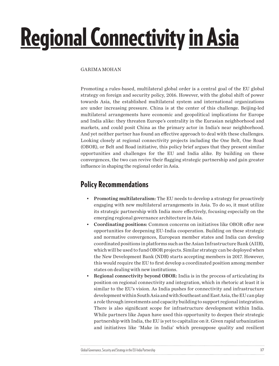## <span id="page-16-0"></span>Regional Connectivity in Asia

#### GARIMA MOHAN

Promoting a rules-based, multilateral global order is a central goal of the EU global strategy on foreign and security policy, 2016. However, with the global shift of power towards Asia, the established multilateral system and international organizations are under increasing pressure. China is at the center of this challenge. Beijing-led multilateral arrangements have economic and geopolitical implications for Europe and India alike: they threaten Europe's centrality in the Eurasian neighborhood and markets, and could posit China as the primary actor in India's near neighborhood. And yet neither partner has found an effective approach to deal with these challenges. Looking closely at regional connectivity projects including the One Belt, One Road (OBOR), or Belt and Road initiative, this policy brief argues that they present similar opportunities and challenges for the EU and India alike. By building on these convergences, the two can revive their flagging strategic partnership and gain greater influence in shaping the regional order in Asia.

### Policy Recommendations

- Promoting multilateralism: The EU needs to develop a strategy for proactively engaging with new multilateral arrangements in Asia. To do so, it must utilize its strategic partnership with India more effectively, focusing especially on the emerging regional governance architecture in Asia.
- Coordinating positions: Common concerns on initiatives like OBOR offer new opportunities for deepening EU-India cooperation. Building on these strategic and normative convergences, European member states and India can develop coordinated positions in platforms such as the Asian Infrastructure Bank (AIIB), which will be used to fund OBOR projects. Similar strategy can be deployed when the New Development Bank (NDB) starts accepting members in 2017. However, this would require the EU to first develop a coordinated position among member states on dealing with new institutions.
- Regional connectivity beyond OBOR: India is in the process of articulating its position on regional connectivity and integration, which in rhetoric at least it is similar to the EU's vision. As India pushes for connectivity and infrastructure development within South Asia and with Southeast and East Asia, the EU can play a role through investments and capacity building to support regional integration. There is also significant scope for infrastructure development within India. While partners like Japan have used this opportunity to deepen their strategic partnership with India, the EU is yet to capitalize on it. Given rapid urbanization and initiatives like 'Make in India' which presuppose quality and resilient

Global Governance, Security and Strategy in the EU-India Partnership 17 and 17 and 17 and 17 and 17 and 17 and 17 and 17 and 17 and 17 and 17 and 17 and 17 and 17 and 17 and 17 and 17 and 17 and 17 and 17 and 17 and 18 and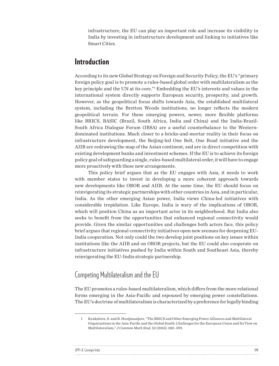infrastructure, the EU can play an important role and increase its visibility in India by investing in infrastructure development and linking to initiatives like Smart Cities.

#### Introduction

According to its new Global Strategy on Foreign and Security Policy, the EU's "primary foreign policy goal is to promote a rules-based global order with multilateralism as the key principle and the UN at its core."1 Embedding the EU's interests and values in the international system directly supports European security, prosperity, and growth. However, as the geopolitical focus shifts towards Asia, the established multilateral system, including the Bretton Woods institutions, no longer reflects the modern geopolitical terrain. For these emerging powers, newer, more flexible platforms like BRICS, BASIC (Brazil, South Africa, India and China) and the India-Brazil-South Africa Dialogue Forum (IBSA) are a useful counterbalance to the Westerndominated institutions. Much closer to a bricks-and-mortar reality in their focus on infrastructure development, the Beijing-led One Belt, One Road initiative and the AIIB are redrawing the map of the Asian continent, and are in direct competition with existing development banks and investment schemes. If the EU is to achieve its foreign policy goal of safeguarding a single, rules-based multilateral order, it will have to engage more proactively with these new arrangements.

This policy brief argues that as the EU engages with Asia, it needs to work with member states to invest in developing a more coherent approach towards new developments like OBOR and AIIB. At the same time, the EU should focus on reinvigorating its strategic partnerships with other countries in Asia, and in particular, India. As the other emerging Asian power, India views China-led initiatives with considerable trepidation. Like Europe, India is wary of the implications of OBOR, which will position China as an important actor in its neighborhood. But India also seeks to benefit from the opportunities that enhanced regional connectivity would provide. Given the similar opportunities and challenges both actors face, this policy brief argues that regional connectivity initiatives open new avenues for deepening EU-India cooperation. Not only could the two develop joint positions on key issues within institutions like the AIIB and on OBOR projects, but the EU could also cooperate on infrastructure initiatives pushed by India within South and Southeast Asia, thereby reinvigorating the EU-India strategic partnership.

#### Competing Multilateralism and the EU

 $\ddot{\phantom{a}}$ 

The EU promotes a rules-based multilateralism, which differs from the more relational forms emerging in the Asia-Pacific and espoused by emerging power constellations. The EU's doctrine of multilateralism is characterized by a preference for legally binding

| GPPi & |  |
|--------|--|
|        |  |

<sup>1</sup> Keukeleire, S. and B. Hooijmaaijers, "The BRICS and Other Emerging Power Alliances and Multilateral Organizations in the Asia-Pacific and the Global South: Challenges for the European Union and Its View on Multilateralism," *J Common Mark Stud,* 52 (2015): 582–599.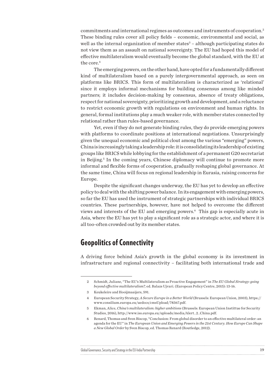commitments and international regimes as outcomes and instruments of cooperation.2 These binding rules cover all policy fields – economic, environmental and social, as well as the internal organization of member states<sup>3</sup> – although participating states do not view them as an assault on national sovereignty. The EU had hoped this model of effective multilateralism would eventually become the global standard, with the EU at the core.<sup>4</sup>

The emerging powers, on the other hand, have opted for a fundamentally different kind of multilateralism based on a purely intergovernmental approach, as seen on platforms like BRICS. This form of multilateralism is characterized as 'relational' since it employs informal mechanisms for building consensus among like minded partners; it includes decision-making by consensus, absence of treaty obligations, respect for national sovereignty, prioritizing growth and development, and a reluctance to restrict economic growth with regulations on environment and human rights. In general, formal institutions play a much weaker role, with member states connected by relational rather than rules-based governance.

Yet, even if they do not generate binding rules, they do provide emerging powers with platforms to coordinate positions at international negotiations. Unsurprisingly given the unequal economic and political clout among the various "emerging" powers, China is increasingly taking a leadership role: it is consolidating its leadership of existing groups like BRICS while lobbying for the establishment of a permanent G20 secretariat in Beijing.5 In the coming years, Chinese diplomacy will continue to promote more informal and flexible forms of cooperation, gradually reshaping global governance. At the same time, China will focus on regional leadership in Eurasia, raising concerns for Europe.

Despite the significant changes underway, the EU has yet to develop an effective policy to deal with the shifting power balance. In its engagement with emerging powers, so far the EU has used the instrument of strategic partnerships with individual BRICS countries. These partnerships, however, have not helped to overcome the different views and interests of the EU and emerging powers.6 This gap is especially acute in Asia, where the EU has yet to play a significant role as a strategic actor, and where it is all too-often crowded out by its member states.

#### Geopolitics of Connectivity

A driving force behind Asia's growth in the global economy is its investment in infrastructure and regional connectivity – facilitating both international trade and

| Global Governance, Security and Strategy in the EU-India Partnership |  |
|----------------------------------------------------------------------|--|
|                                                                      |  |

<sup>2</sup> Schmidt, Juliane, "The EU's Multilateralism as Proactive Engagement" in *The EU Global Strategy: going beyond effective multilateralism?,* ed. Balazs Ujvari. (European Policy Centre, 2015): 13-16.

<sup>3</sup> Keukeleire and Hooijmaaijers, 591.

<sup>4</sup> European Security Strategy, *A Secure Europe in a Better World* (Brussels: European Union, 2003), [https://](https://www.consilium.europa.eu/uedocs/cmsUpload/78367.pdf) [www.consilium.europa.eu/uedocs/cmsUpload/78367.pdf](https://www.consilium.europa.eu/uedocs/cmsUpload/78367.pdf).

<sup>5</sup> Ekman, Alice, *China's multilateralism: higher ambitions* (Brussels: European Union Instittue for Security Studies, 2016), [http://www.iss.europa.eu/uploads/media/Alert\\_2\\_China.pdf.](http://www.iss.europa.eu/uploads/media/Alert_2_China.pdf)

<sup>6</sup> Renard, Thomas and Sven Biscop, "Conclusion: From global disorder to an effective multilateral order: an agenda for the EU" in *The European Union and Emerging Powers in the 21st Century. How Europe Can Shape a New Global Order* by Sven Biscop, ed. Thomas Renard (Routledge, 2012).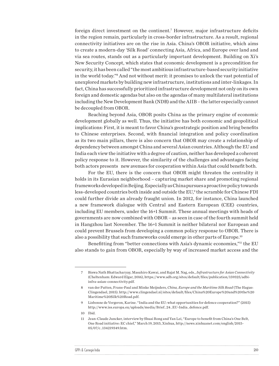foreign direct investment on the continent.7 However, major infrastructure deficits in the region remain, particularly in cross-border infrastructure. As a result, regional connectivity initiatives are on the rise in Asia. China's OBOR initiative, which aims to create a modern-day 'Silk Road' connecting Asia, Africa, and Europe over land and via sea routes, stands out as a particularly important development. Building on Xi's New Security Concept, which states that economic development is a precondition for security, it has been called "the most ambitious infrastructure-based security initiative in the world today."8 And not without merit: it promises to unlock the vast potential of unexplored markets by building new infrastructure, institutions and inter-linkages. In fact, China has successfully prioritized infrastructure development not only on its own foreign and domestic agendas but also on the agendas of many multilateral institutions including the New Development Bank (NDB) and the AIIB – the latter especially cannot be decoupled from OBOR.

Reaching beyond Asia, OBOR posits China as the primary engine of economic development globally as well. Thus, the initiative has both economic and geopolitical implications: First, it is meant to favor China's geostrategic position and bring benefits to Chinese enterprises. Second, with financial integration and policy coordination as its two main pillars, there is also concern that OBOR may create a relationship of dependency between amongst China and several Asian countries. Although the EU and India each view the initiative with a degree of caution, neither has developed a coherent policy response to it. However, the similarity of the challenges and advantages facing both actors presents new avenues for cooperation within Asia that could benefit both.

For the EU, there is the concern that OBOR might threaten the centrality it holds in its Eurasian neighborhood – capturing market share and promoting regional frameworks developed in Beijing. Especially as China pursues a proactive policy towards less-developed countries both inside and outside the EU,9 the scramble for Chinese FDI could further divide an already fraught union. In 2012, for instance, China launched a new framework dialogue with Central and Eastern European (CEE) countries, including EU members, under the 16+1 Summit. These annual meetings with heads of governments are now combined with OBOR – as seen in case of the fourth summit held in Hangzhou last November. The 16+1 Summit is neither bilateral nor European and could prevent Brussels from developing a common policy response to OBOR. There is also a possibility that such frameworks could emerge in other parts of Europe.10

Benefitting from "better connections with Asia's dynamic economies,"11 the EU also stands to gain from OBOR, especially by way of increased market access and the

10 Ibid.

 $\ddot{\phantom{a}}$ 

| GPPi & O<br>` arnegie India |  |
|-----------------------------|--|
|                             |  |

<sup>7</sup> Biswa Nath Bhattacharyay, Masahiro Kawai, and Rajat M. Nag, eds., *Infrastructure for Asian Connectivity*  (Cheltenham: Edward Elgar, 2016), [https://www.adb.org/sites/default/files/publication/159325/adbi](https://www.adb.org/sites/default/files/publication/159325/adbi-infra-asian-connectivity.pdf)[infra-asian-connectivity.pdf.](https://www.adb.org/sites/default/files/publication/159325/adbi-infra-asian-connectivity.pdf)

<sup>8</sup> van der Putten, Frans-Paul and Minke Meijnders, *China, Europe and the Maritime Silk Road* (The Hague: Clingendael, 2015). [http://www.clingendael.nl/sites/default/files/China%20Europe%20and%20the%20](http://www.clingendael.nl/sites/default/files/China%20Europe%20and%20the%20Maritime%20Silk%20Road.pdf) [Maritime%20Silk%20Road.pdf.](http://www.clingendael.nl/sites/default/files/China%20Europe%20and%20the%20Maritime%20Silk%20Road.pdf)

<sup>9</sup> Lisbonne de Vergeron, Karine. "India and the EU: what opportunities for defence cooperation?" (2015) [http://www.iss.europa.eu/uploads/media/Brief\\_24\\_EU-India\\_defence.pdf](http://www.iss.europa.eu/uploads/media/Brief_24_EU-India_defence.pdf).

<sup>11</sup> Jean-Claude Juncker, interview by Shuai Rong and Yan Lei, "Europe to benefit from China's One Belt, One Road initiative: EC chief," March 19, 2015, Xinhua, [http://news.xinhuanet.com/english/2015-](http://news.xinhuanet.com/english/2015-05/07/c_134219349.htm) [05/07/c\\_134219349.htm](http://news.xinhuanet.com/english/2015-05/07/c_134219349.htm).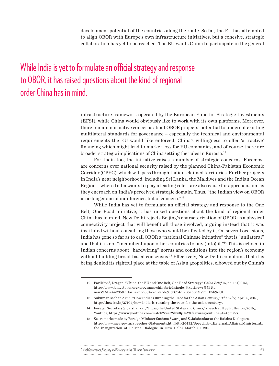development potential of the countries along the route. So far, the EU has attempted to align OBOR with Europe's own infrastructure initiatives, but a cohesive, strategic collaboration has yet to be reached. The EU wants China to participate in the general

## While India is yet to formulate an official strategy and response to OBOR, it has raised questions about the kind of regional order China has in mind.

infrastructure framework operated by the European Fund for Strategic Investments (EFSI), while China would obviously like to work with its own platforms. Moreover, there remain normative concerns about OBOR projects' potential to undercut existing multilateral standards for governance – especially the technical and environmental requirements the EU would like enforced. China's willingness to offer 'attractive' financing which might lead to market loss for EU companies, and of course there are broader strategic implications of China setting the rules in Eurasia.12

For India too, the initiative raises a number of strategic concerns. Foremost are concerns over national security raised by the planned China-Pakistan Economic Corridor (CPEC), which will pass through Indian-claimed territories. Further projects in India's near neighborhood, including Sri Lanka, the Maldives and the Indian Ocean Region – where India wants to play a leading role – are also cause for apprehension, as they encroach on India's perceived strategic domain. Thus, "the Indian view on OBOR is no longer one of indifference, but of concern."<sup>13</sup>

While India has yet to formulate an official strategy and response to the One Belt, One Road initiative, it has raised questions about the kind of regional order China has in mind. New Delhi rejects Beijing's characterization of OBOR as a physical connectivity project that will benefit all those involved, arguing instead that it was instituted without consulting those who would be affected by it. On several occasions, India has gone so far as to call OBOR a "national Chinese initiative" that is "unilateral" and that it is not "incumbent upon other countries to buy (into) it."<sup>14</sup> This is echoed in Indian concerns about "hardwiring" norms and conditions into the region's economy without building broad-based consensus.<sup>15</sup> Effectively, New Delhi complains that it is being denied its rightful place at the table of Asian geopolitics, elbowed out by China's

| Global Governance, Security and Strategy in the EU-India Partnership |  |
|----------------------------------------------------------------------|--|
|                                                                      |  |

<sup>12</sup> Pavlićević, Dragan, "China, the EU and One Belt, One Road Strategy" *China Brief* 15, no. 15 (2015), [http://www.jamestown.org/programs/chinabrief/single/?tx\\_ttnews%5Btt\\_](http://www.jamestown.org/programs/chinabrief/single/?tx_ttnews%5Btt_news%5D=44235&cHash=9dbc08472c19ecd691307c4c1905eb0c#.V7quE5h96Ul) [news%5D=44235&cHash=9dbc08472c19ecd691307c4c1905eb0c#.V7quE5h96Ul](http://www.jamestown.org/programs/chinabrief/single/?tx_ttnews%5Btt_news%5D=44235&cHash=9dbc08472c19ecd691307c4c1905eb0c#.V7quE5h96Ul).

<sup>13</sup> Sukumar, Mohan Arun, "How India is Running the Race for the Asian Century," *The Wire,* April 5, 2016, [http://thewire.in/27104/how-india-is-running-the-race-for-the-asian-century/.](http://thewire.in/27104/how-india-is-running-the-race-for-the-asian-century/)

<sup>14</sup> Foreign Secretary S. Jaishankar, "India, the United States and China," speech at IISS Fullerton, 2016,, Youtube, [https://www.youtube.com/watch?v=et2ihw8jHaY&feature=youtu.be&t=46m27s.](https://www.youtube.com/watch?v=et2ihw8jHaY&feature=youtu.be&t=46m27s)

<sup>15</sup> See remarks made by Foreign Minister Sushma Swaraj and S. Jaishankar at the Raisina Dialogues, [http://www.mea.gov.in/Speeches-Statements.htm?dtl/26432/Speech\\_by\\_External\\_Affairs\\_Minister\\_at\\_](http://www.mea.gov.in/Speeches-Statements.htm?dtl/26432/Speech_by_External_Affairs_Minister_at_the_inauguration_of_Raisina_Dialogue_in_New_Delhi_March_01_2016) [the\\_inauguration\\_of\\_Raisina\\_Dialogue\\_in\\_New\\_Delhi\\_March\\_01\\_2016.](http://www.mea.gov.in/Speeches-Statements.htm?dtl/26432/Speech_by_External_Affairs_Minister_at_the_inauguration_of_Raisina_Dialogue_in_New_Delhi_March_01_2016)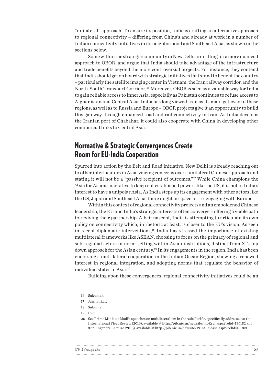"unilateral" approach. To ensure its position, India is crafting an alternative approach to regional connectivity – differing from China's and already at work in a number of Indian connectivity initiatives in its neighborhood and Southeast Asia, as shown in the sections below.

Some within the strategic community in New Delhi are calling for a more nuanced approach to OBOR, and argue that India should take advantage of the infrastructure and trade benefits beyond the more controversial projects. For instance, they contend that India should get on board with strategic initiatives that stand to benefit the country – particularly the satellite imaging center in Vietnam, the Iran railway corridor, and the North-South Transport Corridor. 16 Moreover, OBOR is seen as a valuable way for India to gain reliable access to inner Asia, especially as Pakistan continues to refuse access to Afghanistan and Central Asia. India has long viewed Iran as its main gateway to these regions, as well as to Russia and Europe – OBOR projects give it an opportunity to build this gateway through enhanced road and rail connectivity in Iran. As India develops the Iranian port of Chabahar, it could also cooperate with China in developing other commercial links to Central Asia.

#### Normative & Strategic Convergences Create Room for EU-India Cooperation

Spurred into action by the Belt and Road initiative, New Delhi is already reaching out to other interlocutors in Asia, voicing concerns over a unilateral Chinese approach and stating it will not be a "passive recipient of outcomes."17 While China champions the 'Asia for Asians' narrative to keep out established powers like the US, it is not in India's interest to have a unipolar Asia. As India steps up its engagement with other actors like the US, Japan and Southeast Asia, there might be space for re-engaging with Europe.

Within this context of regional connectivity projects and an emboldened Chinese leadership, the EU and India's strategic interests often converge – offering a viable path to reviving their partnership. Albeit nascent, India is attempting to articulate its own policy on connectivity which, in rhetoric at least, is closer to the EU's vision. As seen in recent diplomatic interventions,18 India has stressed the importance of existing multilateral frameworks like ASEAN, choosing to focus on the primacy of regional and sub-regional actors in norm-setting within Asian institutions, distinct from Xi's top down approach for the Asian century.19 In its engagements in the region, India has been endorsing a multilateral cooperation in the Indian Ocean Region, showing a renewed interest in regional integration, and adopting norms that regulate the behavior of individual states in Asia.20

Building upon these convergences, regional connectivity initiatives could be an

| GPPi & |  |
|--------|--|
|        |  |

<sup>16</sup> Sukumar.

<sup>17</sup> Jaishankar.

<sup>18</sup> Sukumar.

<sup>19</sup> Ibid.

<sup>20</sup> See Prime Minister Modi's speeches on multilateralism in the Asia Pacific, specifically addressed at the International Fleet Review (2016), available at<http://pib.nic.in/newsite/mbErel.aspx?relid=136182>and 37th Singapore Lecture (2015), available at <http://pib.nic.in/newsite/PrintRelease.aspx?relid=131821>.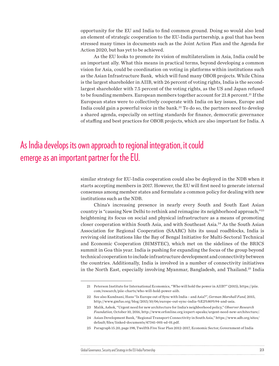opportunity for the EU and India to find common ground. Doing so would also lend an element of strategic cooperation to the EU-India partnership, a goal that has been stressed many times in documents such as the Joint Action Plan and the Agenda for Action 2020, but has yet to be achieved.

As the EU looks to promote its vision of multilateralism in Asia, India could be an important ally. What this means in practical terms, beyond developing a common vision for Asia, could be coordination on voting in platforms within institutions such as the Asian Infrastructure Bank, which will fund many OBOR projects. While China is the largest shareholder in AIIB, with 26 percent of voting rights, India is the secondlargest shareholder with 7.5 percent of the voting rights, as the US and Japan refused to be founding members. European members together account for 21.8 percent.21 If the European states were to collectively cooperate with India on key issues, Europe and India could gain a powerful voice in the bank. $^{22}$  To do so, the partners need to develop a shared agenda, especially on setting standards for finance, democratic governance of staffing and best practices for OBOR projects, which are also important for India. A

## As India develops its own approach to regional integration, it could emerge as an important partner for the EU.

similar strategy for EU-India cooperation could also be deployed in the NDB when it starts accepting members in 2017. However, the EU will first need to generate internal consensus among member states and formulate a common policy for dealing with new institutions such as the NDB.

China's increasing presence in nearly every South and South East Asian country is "causing New Delhi to rethink and reimagine its neighborhood approach,"23 heightening its focus on social and physical infrastructure as a means of promoting closer cooperation within South Asia, and with Southeast Asia.24 As the South Asian Association for Regional Cooperation (SAARC) hits its usual roadblocks, India is reviving old institutions like the Bay of Bengal Initiative for Multi-Sectoral Technical and Economic Cooperation (BIMSTEC), which met on the sidelines of the BRICS summit in Goa this year. India is pushing for expanding the focus of the group beyond technical cooperation to include infrastructure development and connectivity between the countries. Additionally, India is involved in a number of connectivity initiatives in the North East, especially involving Myanmar, Bangladesh, and Thailand.25 India

#### Global Governance, Security and Strategy in the EU-India Partnership 23

<sup>21</sup> Peterson Institute for International Economics, "Who will hold the power in AIIB?" (2015), [https://piie.](https://piie.com/research/piie-charts/who-will-hold-power-aiib) [com/research/piie-charts/who-will-hold-power-aiib.](https://piie.com/research/piie-charts/who-will-hold-power-aiib)

<sup>22</sup> See also Kundnani, Hans "Is Europe out of Sync with India – and Asia?", *German Marshall Fund*, 2015, <http://www.gmfus.org/blog/2015/10/06/europe-out-sync-india-%E2%80%94-and-asia>.

<sup>23</sup> Malik, Ashok, "Urgent need for new architecture for India's neighborhood policy," *Observer Research Foundation,* October 10, 2016,<http://www.orfonline.org/expert-speaks/urgent-need-new-architecture/>.

<sup>24</sup> Asian Development Bank, "Regional Transport Connectivity in South Asia," [https://www.adb.org/sites/](https://www.adb.org/sites/default/files/linked-documents/47341-001-sd-01.pdf) [default/files/linked-documents/47341-001-sd-01.pdf.](https://www.adb.org/sites/default/files/linked-documents/47341-001-sd-01.pdf)

<sup>25</sup> Paragraph 15.20, page 198, Twelfth Five Year Plan 2012-2017, Economic Sector, Government of India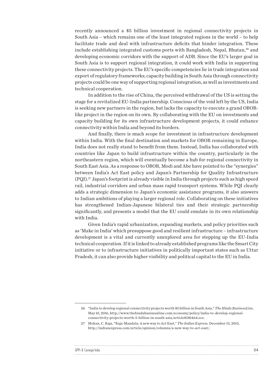recently announced a \$5 billion investment in regional connectivity projects in South Asia – which remains one of the least integrated regions in the world – to help facilitate trade and deal with infrastructure deficits that hinder integration. These include establishing integrated customs ports with Bangladesh, Nepal, Bhutan,<sup>26</sup> and developing economic corridors with the support of ADB. Since the EU's larger goal in South Asia is to support regional integration, it could work with India in supporting these connectivity projects. The EU's specific competencies lie in trade integration and export of regulatory frameworks; capacity building in South Asia through connectivity projects could be one way of supporting regional integration, as well as investments and technical cooperation.

In addition to the rise of China, the perceived withdrawal of the US is setting the stage for a revitalized EU-India partnership. Conscious of the void left by the US, India is seeking new partners in the region, but lacks the capacity to execute a grand OBORlike project in the region on its own. By collaborating with the EU on investments and capacity building for its own infrastructure development projects, it could enhance connectivity within India and beyond its borders.

And finally, there is much scope for investment in infrastructure development within India. With the final destination and markets for OBOR remaining in Europe, India does not really stand to benefit from them. Instead, India has collaborated with countries like Japan to build infrastructure within the country, particularly in the northeastern region, which will eventually become a hub for regional connectivity in South East Asia. As a response to OBOR, Modi and Abe have pointed to the "synergies" between India's Act East policy and Japan's Partnership for Quality Infrastructure (PQI).27 Japan's footprint is already visible in India through projects such as high speed rail, industrial corridors and urban mass rapid transport systems. While PQI clearly adds a strategic dimension to Japan's economic assistance programs, it also answers to Indian ambitions of playing a larger regional role. Collaborating on these initiatives has strengthened Indian-Japanese bilateral ties and their strategic partnership significantly, and presents a model that the EU could emulate in its own relationship with India.

Given India's rapid urbanization, expanding markets, and policy priorities such as 'Make in India' which presuppose good and resilient infrastructure – infrastructure development is a vital and currently unexplored area for stepping up the EU-India technical cooperation. If it is linked to already established programs like the Smart City initiative or to infrastructure initiatives in politically important states such as Uttar Pradesh, it can also provide higher visibility and political capital to the EU in India.

 $\ddotsc$ 

| GPPi |  |
|------|--|
|      |  |

<sup>26</sup> "India to develop regional connectivity projects worth \$5 billion in South Asia," *The Hindu BusinessLine,*  May 10, 2016, [http://www.thehindubusinessline.com/economy/policy/india-to-develop-regional](http://www.thehindubusinessline.com/economy/policy/india-to-develop-regional-connectivity-projects-worth-5-billion-in-south-asia/article8581464.ece)[connectivity-projects-worth-5-billion-in-south-asia/article8581464.ece.](http://www.thehindubusinessline.com/economy/policy/india-to-develop-regional-connectivity-projects-worth-5-billion-in-south-asia/article8581464.ece)

<sup>27</sup> Mohan, C. Raja, "Raja-Mandala: A new way to Act East," *The Indian Express,* December 15, 2015, <http://indianexpress.com/article/opinion/columns/a-new-way-to-act-east/>.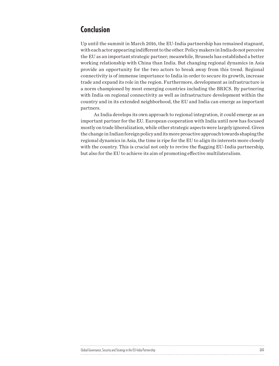### Conclusion

Up until the summit in March 2016, the EU-India partnership has remained stagnant, with each actor appearing indifferent to the other. Policy makers in India do not perceive the EU as an important strategic partner; meanwhile, Brussels has established a better working relationship with China than India. But changing regional dynamics in Asia provide an opportunity for the two actors to break away from this trend. Regional connectivity is of immense importance to India in order to secure its growth, increase trade and expand its role in the region. Furthermore, development as infrastructure is a norm championed by most emerging countries including the BRICS. By partnering with India on regional connectivity as well as infrastructure development within the country and in its extended neighborhood, the EU and India can emerge as important partners.

As India develops its own approach to regional integration, it could emerge as an important partner for the EU. European cooperation with India until now has focused mostly on trade liberalization, while other strategic aspects were largely ignored. Given the change in Indian foreign policy and its more proactive approach towards shaping the regional dynamics in Asia, the time is ripe for the EU to align its interests more closely with the country. This is crucial not only to revive the flagging EU-India partnership, but also for the EU to achieve its aim of promoting effective multilateralism.

|                                                                                        | . |  |
|----------------------------------------------------------------------------------------|---|--|
| Security an<br>v and Strategy in the EU-India Part<br>וחודו<br>Partnersnir<br>vernance |   |  |
|                                                                                        |   |  |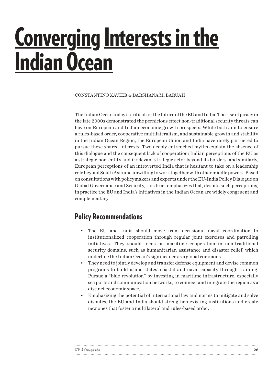## <span id="page-25-0"></span>Converging Interests in the **Indian Ocean**

CONSTANTINO XAVIER & DARSHANA M. BARUAH

The Indian Ocean today is critical for the future of the EU and India. The rise of piracy in the late 2000s demonstrated the pernicious effect non-traditional security threats can have on European and Indian economic growth prospects. While both aim to ensure a rules-based order, cooperative multilateralism, and sustainable growth and stability in the Indian Ocean Region, the European Union and India have rarely partnered to pursue these shared interests. Two deeply entrenched myths explain the absence of this dialogue and the consequent lack of cooperation: Indian perceptions of the EU as a strategic non-entity and irrelevant strategic actor beyond its borders; and similarly, European perceptions of an introverted India that is hesitant to take on a leadership role beyond South Asia and unwilling to work together with other middle powers. Based on consultations with policymakers and experts under the EU-India Policy Dialogue on Global Governance and Security, this brief emphasizes that, despite such perceptions, in practice the EU and India's initiatives in the Indian Ocean are widely congruent and complementary.

#### Policy Recommendations

- The EU and India should move from occasional naval coordination to institutionalized cooperation through regular joint exercises and patrolling initiatives. They should focus on maritime cooperation in non-traditional security domains, such as humanitarian assistance and disaster relief, which underline the Indian Ocean's significance as a global commons.
- They need to jointly develop and transfer defense equipment and devise common programs to build island states' coastal and naval capacity through training. Pursue a "blue revolution" by investing in maritime infrastructure, especially sea ports and communication networks, to connect and integrate the region as a distinct economic space.
- Emphasizing the potential of international law and norms to mitigate and solve disputes, the EU and India should strengthen existing institutions and create new ones that foster a multilateral and rules-based order.

| GPPi & Carnegie India |  |
|-----------------------|--|
|                       |  |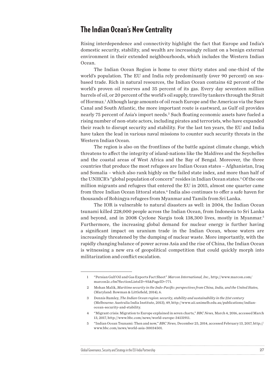#### The Indian Ocean's New Centrality

Rising interdependence and connectivity highlight the fact that Europe and India's domestic security, stability, and wealth are increasingly reliant on a benign external environment in their extended neighbourhoods, which includes the Western Indian Ocean.

The Indian Ocean Region is home to over thirty states and one-third of the world's population. The EU and India rely predominantly (over 90 percent) on seabased trade. Rich in natural resources, the Indian Ocean contains 62 percent of the world's proven oil reserves and 35 percent of its gas. Every day seventeen million barrels of oil, or 20 percent of the world's oil supply, travel by tankers through the Strait of Hormuz.1 Although large amounts of oil reach Europe and the Americas via the Suez Canal and South Atlantic, the more important route is eastward, as Gulf oil provides nearly 75 percent of Asia's import needs.2 Such floating economic assets have fueled a rising number of non-state actors, including pirates and terrorists, who have expanded their reach to disrupt security and stability. For the last ten years, the EU and India have taken the lead in various naval missions to counter such security threats in the Western Indian Ocean.

The region is also on the frontlines of the battle against climate change, which threatens to affect the integrity of island-nations like the Maldives and the Seychelles and the coastal areas of West Africa and the Bay of Bengal. Moreover, the three countries that produce the most refugees are Indian Ocean states – Afghanistan, Iraq and Somalia – which also rank highly on the failed state index, and more than half of the UNHCR's "global population of concern" resides in Indian Ocean states.<sup>3</sup> Of the one million migrants and refugees that entered the EU in 2015, almost one quarter came from three Indian Ocean littoral states.4 India also continues to offer a safe haven for thousands of Rohingya refugees from Myanmar and Tamils from Sri Lanka.

The IOR is vulnerable to natural disasters as well: in 2004, the Indian Ocean tsunami killed 228,000 people across the Indian Ocean, from Indonesia to Sri Lanka and beyond, and in 2008 Cyclone Nargis took 138,300 lives, mostly in Myanmar.5 Furthermore, the increasing global demand for nuclear energy is further having a significant impact on uranium trade in the Indian Ocean, whose waters are increasingly threatened by the dumping of nuclear waste. More importantly, with the rapidly changing balance of power across Asia and the rise of China, the Indian Ocean is witnessing a new era of geopolitical competition that could quickly morph into militarization and conflict escalation.

| Global Governance, Security and Strategy in the EU-India Partnership |  |
|----------------------------------------------------------------------|--|
|                                                                      |  |

<sup>1</sup> "Persian Gulf Oil and Gas Exports Fact Sheet" *Marcon International, Inc.,* [http://www.marcon.com/](http://www.marcon.com/marcon2c.cfm?SectionListsID=93&PageID=771) [marcon2c.cfm?SectionListsID=93&PageID=771.](http://www.marcon.com/marcon2c.cfm?SectionListsID=93&PageID=771)

<sup>2</sup> Mohan Malik, *Maritime security in the Indo-Pacific: perspectives from China, India, and the United States,* (Maryland: Rowman & Littlefield, 2014), 6.

<sup>3</sup> Dennis Rumley, *The Indian Ocean region: security, stability and sustainability in the 21st century* (Melbourne: Australia India Institute, 2013), 49, [http://www.aii.unimelb.edu.au/publications/indian](http://www.aii.unimelb.edu.au/publications/indian-ocean-security-and-stability)[ocean-security-and-stability.](http://www.aii.unimelb.edu.au/publications/indian-ocean-security-and-stability)

<sup>4</sup> "Migrant crisis: Migration to Europe explained in seven charts," *BBC News,* March 4, 2016, accessed March 13, 2017, <http://www.bbc.com/news/world-europe-34131911>.

<sup>5</sup> "Indian Ocean Tsunami: Then and now," *BBC News,* December 25, 2014, accessed February 13, 2017, [http://](http://www.bbc.com/news/world-asia-30034501) [www.bbc.com/news/world-asia-30034501.](http://www.bbc.com/news/world-asia-30034501)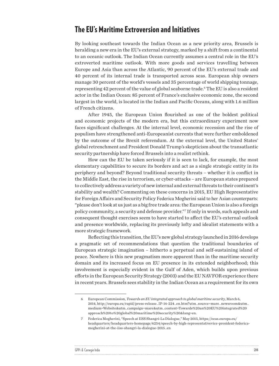#### The EU's Maritime Extroversion and Initiatives

By looking southeast towards the Indian Ocean as a new priority area, Brussels is heralding a new era in the EU's external strategy, marked by a shift from a continental to an oceanic outlook. The Indian Ocean currently assumes a central role in the EU's extroverted maritime outlook. With more goods and services travelling between Europe and Asia than across the Atlantic, 90 percent of the EU's external trade and 40 percent of its internal trade is transported across seas. European ship owners manage 30 percent of the world's vessels and 35 percentage of world shipping tonnage, representing 42 percent of the value of global seaborne trade.<sup>6</sup> The EU is also a resident actor in the Indian Ocean: 85 percent of France's exclusive economic zone, the second largest in the world, is located in the Indian and Pacific Oceans, along with 1.6 million of French citizens.

After 1945, the European Union flourished as one of the boldest political and economic projects of the modern era, but this extraordinary experiment now faces significant challenges. At the internal level, economic recession and the rise of populism have strengthened anti-Europeanist currents that were further emboldened by the outcome of the Brexit referendum. At the external level, the United States' global retrenchment and President Donald Trump's skepticism about the transatlantic security partnership have forced Brussels into a realist rethink.

How can the EU be taken seriously if it is seen to lack, for example, the most elementary capabilities to secure its borders and act as a single strategic entity in its periphery and beyond? Beyond traditional security threats – whether it is conflict in the Middle East, the rise in terrorism, or cyber-attacks – are European states prepared to collectively address a variety of new internal and external threats to their continent's stability and wealth? Commenting on these concerns in 2015, EU High Representative for Foreign Affairs and Security Policy Federica Mogherini said to her Asian counterparts: "please don't look at us just as a big free trade area: the European Union is also a foreign policy community, a security and defense provider."7 If only in words, such appeals and consequent thought exercises seem to have started to affect the EU's external outlook and presence worldwide, replacing its previously lofty and idealist statements with a more strategic framework.

Reflecting this transition, the EU's new global strategy launched in 2016 develops a pragmatic set of recommendations that question the traditional boundaries of European strategic imagination – hitherto a perpetual and self-sustaining island of peace. Nowhere is this new pragmatism more apparent than in the maritime security domain and its increased focus on EU presence in its extended neighborhood; this involvement is especially evident in the Gulf of Aden, which builds upon previous efforts in the European Security Strategy (2003) and the EU NAVFOR experience there in recent years. Brussels sees stability in the Indian Ocean as a requirement for its own

<sup>7</sup> Federica Mogherini, "Speech at IISS Shangri-La Dialogue," May 2015, [https://eeas.europa.eu/](https://eeas.europa.eu/headquarters/headquarters-homepage/6254/speech-by-high-representativevice-president-federica-mogherini-at-the-iiss-shangri-la-dialogue-2015_en) [headquarters/headquarters-homepage/6254/speech-by-high-representativevice-president-federica](https://eeas.europa.eu/headquarters/headquarters-homepage/6254/speech-by-high-representativevice-president-federica-mogherini-at-the-iiss-shangri-la-dialogue-2015_en)[mogherini-at-the-iiss-shangri-la-dialogue-2015\\_en](https://eeas.europa.eu/headquarters/headquarters-homepage/6254/speech-by-high-representativevice-president-federica-mogherini-at-the-iiss-shangri-la-dialogue-2015_en)

| GPPi & |  |
|--------|--|
|        |  |

<sup>6</sup> European Commission, *Towards an EU integrated approach to global maritime security*, March 6, 2014, [http://europa.eu/rapid/press-release\\_IP-14-224\\_en.htm?utm\\_source=mare\\_newsroom&utm\\_](http://europa.eu/rapid/press-release_IP-14-224_en.htm?utm_source=mare_newsroom&utm_medium=Website&utm_campaign=mare&utm_content=Towards an EU integrated approach to global maritime security &lang=en) [medium=Website&utm\\_campaign=mare&utm\\_content=Towards%20an%20EU%20integrated%20](http://europa.eu/rapid/press-release_IP-14-224_en.htm?utm_source=mare_newsroom&utm_medium=Website&utm_campaign=mare&utm_content=Towards an EU integrated approach to global maritime security &lang=en) [approach%20to%20global%20maritime%20security%20&lang=en](http://europa.eu/rapid/press-release_IP-14-224_en.htm?utm_source=mare_newsroom&utm_medium=Website&utm_campaign=mare&utm_content=Towards an EU integrated approach to global maritime security &lang=en).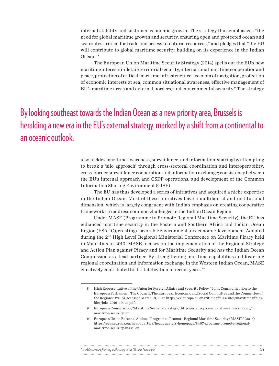internal stability and sustained economic growth. The strategy thus emphasizes "the need for global maritime growth and security, ensuring open and protected ocean and sea routes critical for trade and access to natural resources," and pledges that "the EU will contribute to global maritime security, building on its experience in the Indian Ocean."8

The European Union Maritime Security Strategy (2014) spells out the EU's new maritime interests in detail: territorial security, international maritime cooperation and peace, protection of critical maritime infrastructure, freedom of navigation, protection of economic interests at sea, common situational awareness, effective management of EU's maritime areas and external borders, and environmental security.<sup>9</sup> The strategy

By looking southeast towards the Indian Ocean as a new priority area, Brussels is heralding a new era in the EU's external strategy, marked by a shift from a continental to an oceanic outlook.

> also tackles maritime awareness, surveillance, and information-sharing by attempting to break a 'silo approach' through cross-sectoral coordination and interoperability; cross-border surveillance cooperation and information exchange; consistency between the EU's internal approach and CSDP operations; and development of the Common Information Sharing Environment (CISE).

> The EU has thus developed a series of initiatives and acquired a niche expertise in the Indian Ocean. Most of these initiatives have a multilateral and institutional dimension, which is largely congruent with India's emphasis on creating cooperative frameworks to address common challenges in the Indian Ocean Region.

> Under MASE (Programme to Promote Regional Maritime Security), the EU has enhanced maritime security in the Eastern and Southern Africa and Indian Ocean Region (ESA-IO), creating a favorable environment for economic development. Adopted during the 2nd High Level Regional Ministerial Conference on Maritime Piracy held in Mauritius in 2010, MASE focuses on the implementation of the Regional Strategy and Action Plan against Piracy and for Maritime Security and has the Indian Ocean Commission as a lead partner. By strengthening maritime capabilities and fostering regional coordination and information exchange in the Western Indian Ocean, MASE effectively contributed to its stabilization in recent years.<sup>10</sup>

<sup>8</sup> High Representative of the Union for Foreign Affairs and Security Policy, "Joint Communication to the European Parliament, The Council, The European Economic and Social Committee and the Committee of the Regions" (2016), accessed March 13, 2017, [https://ec.europa.eu/maritimeaffairs/sites/maritimeaffairs/](https://ec.europa.eu/maritimeaffairs/sites/maritimeaffairs/files/join-2016-49_en.pdf) [files/join-2016-49\\_en.pdf](https://ec.europa.eu/maritimeaffairs/sites/maritimeaffairs/files/join-2016-49_en.pdf).

<sup>9</sup> European Commission, "Maritime Security Strategy," [http://ec.europa.eu/maritimeaffairs/policy/](http://ec.europa.eu/maritimeaffairs/policy/maritime-security_en) [maritime-security\\_en](http://ec.europa.eu/maritimeaffairs/policy/maritime-security_en).

<sup>10</sup> European Union External Action*, "*Program to Promote Regional Maritime Security (MASE)" (2016), [https://eeas.europa.eu/headquarters/headquarters-homepage/8407/program-promote-regional](https://eeas.europa.eu/headquarters/headquarters-homepage/8407/program-promote-regional-maritime-security-mase_en)[maritime-security-mase\\_en](https://eeas.europa.eu/headquarters/headquarters-homepage/8407/program-promote-regional-maritime-security-mase_en).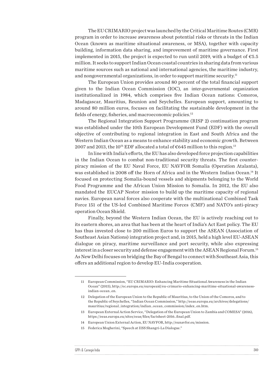The EU CRIMARIO project was launched by the Critical Maritime Routes (CMR) program in order to increase awareness about potential risks or threats in the Indian Ocean (known as maritime situational awareness, or MSA), together with capacity building, information data sharing, and improvement of maritime governance. First implemented in 2015, the project is expected to run until 2019, with a budget of  $\epsilon$ 5.5 million. It seeks to support Indian Ocean coastal countries in sharing data from various maritime sources such as national and international agencies, the maritime industry, and nongovernmental organizations, in order to support maritime security.<sup>11</sup>

The European Union provides around 80 percent of the total financial support given to the Indian Ocean Commission (IOC), an inter-governmental organization institutionalized in 1984, which comprises five Indian Ocean nations: Comoros, Madagascar, Mauritius, Reunion and Seychelles. European support, amounting to around 80 million euros, focuses on facilitating the sustainable development in the fields of energy, fisheries, and macroeconomic policies.12

The Regional Integration Support Programme (RISP 2) continuation program was established under the 10th European Development Fund (EDF) with the overall objective of contributing to regional integration in East and South Africa and the Western Indian Ocean as a means to enhance stability and economic growth. Between 2007 and 2013, the 10<sup>th</sup> EDF allocated a total of  $€645$  million to this region.<sup>13</sup>

In line with India's efforts, the EU has also developed force projection capabilities in the Indian Ocean to combat non-traditional security threats. The first counterpiracy mission of the EU Naval Force, EU NAVFOR Somalia (Operation Atalanta), was established in 2008 off the Horn of Africa and in the Western Indian Ocean.14 It focused on protecting Somalia-bound vessels and shipments belonging to the World Food Programme and the African Union Mission to Somalia. In 2012, the EU also mandated the EUCAP Nestor mission to build up the maritime capacity of regional navies. European naval forces also cooperate with the multinational Combined Task Force 151 of the US-led Combined Maritime Forces (CMF) and NATO's anti-piracy operation Ocean Shield.

Finally, beyond the Western Indian Ocean, the EU is actively reaching out to its eastern shores, an area that has been at the heart of India's Act East policy. The EU has thus invested close to 200 million Euros to support the ASEAN (Association of Southeast Asian Nations) integration project and, in 2015, held a high level EU-ASEAN dialogue on piracy, maritime surveillance and port security, while also expressing interest in a closer security and defense engagement with the ASEAN Regional Forum.15 As New Delhi focuses on bridging the Bay of Bengal to connect with Southeast Asia, this offers an additional region to develop EU-India cooperation.

15 Federica Mogherini, "Speech at IISS Shangri-La Dialogue."

| GPPi & L |  |
|----------|--|
|          |  |

<sup>11</sup> European Commission, "EU CRIMARIO: Enhancing Maritime Situational Awareness in the Indian Ocean" (2015), [http://ec.europa.eu/europeaid/eu-crimario-enhancing-maritime-situational-awareness](http://ec.europa.eu/europeaid/eu-crimario-enhancing-maritime-situational-awareness-indian-ocean_en)[indian-ocean\\_en](http://ec.europa.eu/europeaid/eu-crimario-enhancing-maritime-situational-awareness-indian-ocean_en).

<sup>12</sup> Delegation of the European Union to the Republic of Mauritius, to the Union of the Comoros, and to the Republic of Seychelles, "Indian Ocean Commission," [http://eeas.europa.eu/archives/delegations/](http://eeas.europa.eu/archives/delegations/mauritius/regional_integration/indian_ocean_commission/index_en.htm) [mauritius/regional\\_integration/indian\\_ocean\\_commission/index\\_en.htm.](http://eeas.europa.eu/archives/delegations/mauritius/regional_integration/indian_ocean_commission/index_en.htm)

<sup>13</sup> European External Action Service, "Delegation of the European Union to Zambia and COMESA" (2016), [https://eeas.europa.eu/sites/eeas/files/factsheet-2016\\_final.pdf](https://eeas.europa.eu/sites/eeas/files/factsheet-2016_final.pdf).

<sup>14</sup> European Union External Action, EU NAVFOR,<http://eunavfor.eu/mission>.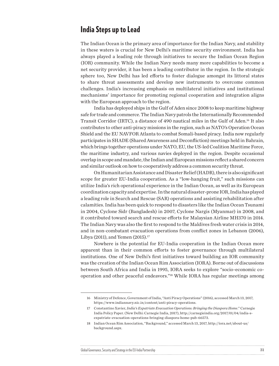#### India Steps up to Lead

The Indian Ocean is the primary area of importance for the Indian Navy, and stability in these waters is crucial for New Delhi's maritime security environment. India has always played a leading role through initiatives to secure the Indian Ocean Region (IOR) community. While the Indian Navy needs many more capabilities to become a net security provider, it has been a leading contributor in the region. In the strategic sphere too, New Delhi has led efforts to foster dialogue amongst its littoral states to share threat assessments and develop new instruments to overcome common challenges. India's increasing emphasis on multilateral initiatives and institutional mechanisms' importance for promoting regional cooperation and integration aligns with the European approach to the region.

India has deployed ships in the Gulf of Aden since 2008 to keep maritime highway safe for trade and commerce. The Indian Navy patrols the Internationally Recommended Transit Corridor (IRTC), a distance of 490 nautical miles in the Gulf of Aden.16 It also contributes to other anti-piracy missions in the region, such as NATO's Operation Ocean Shield and the EU NAVFOR Atlanta to combat Somali-based piracy. India now regularly participates in SHADE (Shared Awareness and Deconfliction) meetings held in Bahrain, which brings together operations under NATO, EU, the US-led Coalition Maritime Force, the maritime industry, and various navies deployed in the region. Despite occasional overlap in scope and mandate, the Indian and European missions reflect a shared concern and similar outlook on how to cooperatively address a common security threat.

On Humanitarian Assistance and Disaster Relief (HADR), there is also significant scope for greater EU-India cooperation. As a "low-hanging fruit," such missions can utilize India's rich operational experience in the Indian Ocean, as well as its European coordination capacity and expertise. In the natural disaster-prone IOR, India has played a leading role in Search and Rescue (SAR) operations and assisting rehabilitation after calamities. India has been quick to respond to disasters like the Indian Ocean Tsunami in 2004, Cyclone Sidr (Bangladesh) in 2007, Cyclone Nargis (Myanmar) in 2008, and it contributed toward search and rescue efforts for Malaysian Airline MH370 in 2014. The Indian Navy was also the first to respond to the Maldives fresh water crisis in 2014, and in non-combatant evacuation operations from conflict zones in Lebanon (2006), Libya (2011), and Yemen (2015).<sup>17</sup>

Nowhere is the potential for EU-India cooperation in the Indian Ocean more apparent than in their common efforts to foster governance through multilateral institutions. One of New Delhi's first initiatives toward building an IOR community was the creation of the Indian Ocean Rim Association (IORA). Borne out of discussions between South Africa and India in 1995, IORA seeks to explore "socio-economic cooperation and other peaceful endeavors."18 While IORA has regular meetings among

#### Global Governance, Security and Strategy in the EU-India Partnership 31 and 31 and 32 and 32 and 32 and 32 and 32 and 32 and 32 and 32 and 32 and 32 and 32 and 32 and 32 and 32 and 32 and 32 and 32 and 32 and 32 and 32 and

<sup>16</sup> Ministry of Defence, Government of India, "Anti Piracy Operations" (2016), accessed March 13, 2017, [https://www.indiannavy.nic.in/content/anti-piracy-operations.](https://www.indiannavy.nic.in/content/anti-piracy-operations)

<sup>17</sup> Constantino Xavier, *India's Expatriate Evacuation Operations: Bringing the Diaspora Home*." Carnegie India Policy Paper. (New Delhi: Carnegie India, 2017), [http://carnegieindia.org/2017/01/04/india-s](http://carnegieindia.org/2017/01/04/india-s-expatriate-evacuation-operations-bringing-diaspora-home-pub-66573)[expatriate-evacuation-operations-bringing-diaspora-home-pub-66573](http://carnegieindia.org/2017/01/04/india-s-expatriate-evacuation-operations-bringing-diaspora-home-pub-66573).

<sup>18</sup> Indian Ocean Rim Association, "Background," accessed March 13, 2017, [http://iora.net/about-us/](http://iora.net/about-us/background.aspx) [background.aspx.](http://iora.net/about-us/background.aspx)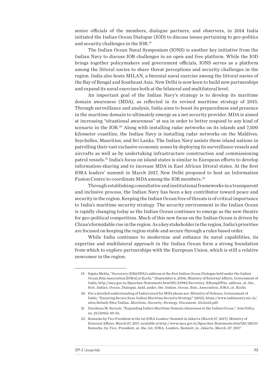senior officials of the members, dialogue partners, and observers, in 2014 India initiated the Indian Ocean Dialogue (IOD) to discuss issues pertaining to geo-politics and security challenges in the IOR.19

The Indian Ocean Naval Symposium (IONS) is another key initiative from the Indian Navy to discuss IOR challenges in an open and free platform. While the IOD brings together policymakers and government officials, IONS serves as a platform among the littoral navies to share threat perceptions and security challenges in the region. India also hosts MILAN, a biennial naval exercise among the littoral navies of the Bay of Bengal and Southeast Asia. New Delhi is now keen to build new partnerships and expand its naval exercises both at the bilateral and multilateral level.

An important goal of the Indian Navy's strategy is to develop its maritime domain awareness (MDA), as reflected in its revised maritime strategy of 2015. Through surveillance and analysis, India aims to boost its preparedness and presence in the maritime domain to ultimately emerge as a net security provider. MDA is aimed at increasing "situational awareness" at sea in order to better respond to any kind of scenario in the IOR.20 Along with installing radar networks on its islands and 7,500 kilometer coastline, the Indian Navy is installing radar networks on the Maldives, Seychelles, Mauritius, and Sri Lanka. The Indian Navy assists these island nations in patrolling their vast exclusive economic zones by deploying its surveillance vessels and aircrafts as well as by undertaking infrastructure construction and commissioning patrol vessels.21 India's focus on island states is similar to European efforts to develop information-sharing and to increase MDA in East African littoral states. At the first IORA leaders' summit in March 2017, New Delhi proposed to host an Information Fusion Centre to coordinate MDA among the IOR members.<sup>22</sup>

Through establishing consultative and institutional frameworks in a transparent and inclusive process, the Indian Navy has been a key contributor toward peace and security in the region. Keeping the Indian Ocean free of threats is of critical importance to India's maritime security strategy. The security environment in the Indian Ocean is rapidly changing today as the Indian Ocean continues to emerge as the new theatre for geo-political competition. Much of this new focus on the Indian Ocean is driven by China's formidable rise in the region. As a key stakeholder in the region, India's priorities are focused on keeping the region stable and secure through a rules based order.

While India continues to modernize and enhance its naval capabilities, its expertise and multilateral approach in the Indian Ocean form a strong foundation from which to explore partnerships with the European Union, which is still a relative newcomer in the region.

| GPPi & |   |
|--------|---|
|        | . |

<sup>19</sup> Sujata Mehta, "Secretary (ER&DPA)'s address at the first Indian Ocean Dialogue held under the Indian Ocean Rim Association [IORA] at Kochi*,*" (September 6, 2014), Ministry of External Affairs, Government of India, [http://mea.gov.in/Speeches-Statements.htm?dtl/23983/Secretary\\_ERampDPAs\\_address\\_at\\_the\\_](http://mea.gov.in/Speeches-Statements.htm?dtl/23983/Secretary_ERampDPAs_address_at_the_first_Indian_Ocean_Dialogue_held_under_the_Indian_Ocean_Rim_Association_IORA_at_Kochi) [first\\_Indian\\_Ocean\\_Dialogue\\_held\\_under\\_the\\_Indian\\_Ocean\\_Rim\\_Association\\_IORA\\_at\\_Kochi.](http://mea.gov.in/Speeches-Statements.htm?dtl/23983/Secretary_ERampDPAs_address_at_the_first_Indian_Ocean_Dialogue_held_under_the_Indian_Ocean_Rim_Association_IORA_at_Kochi)

<sup>20</sup> For a detailed understanding of India's need for MDA please see: Ministry of Defence, Government of India, "Ensuring Secure Seas: Indian Maritime Security Strategy" (2015), [https://www.indiannavy.nic.in/](https://www.indiannavy.nic.in/sites/default/files/Indian_Maritime_Security_Strategy_Document_25Jan16.pdf) [sites/default/files/Indian\\_Maritime\\_Security\\_Strategy\\_Document\\_25Jan16.pdf.](https://www.indiannavy.nic.in/sites/default/files/Indian_Maritime_Security_Strategy_Document_25Jan16.pdf)

<sup>21</sup> Darshana M. Baruah, "Expanding India's Maritime Domain Awareness in the Indian Ocean," *Asia Policy*, no. 22 (2016): 49-55.

<sup>22</sup> Remarks by Vice President at the 1st IORA Leaders' Summit in Jakarta (March 07, 2017), Ministry of External Affairs, March 07, 2017, available at http://www.mea.gov.in/Speeches-Statements.htm?dtl/28119/ Remarks\_by\_Vice\_President\_at\_the\_1st\_IORA\_Leaders\_Summit\_in\_Jakarta\_March\_07\_2017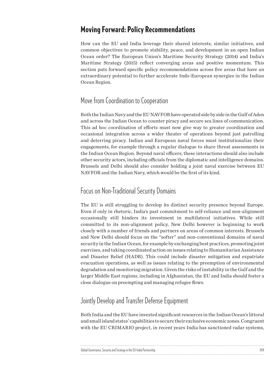#### Moving Forward: Policy Recommendations

How can the EU and India leverage their shared interests, similar initiatives, and common objectives to promote stability, peace, and development in an open Indian Ocean order? The European Union's Maritime Security Strategy (2014) and India's Maritime Strategy (2015) reflect converging areas and positive momentum. This section puts forward specific policy recommendations across five areas that have an extraordinary potential to further accelerate Indo-European synergies in the Indian Ocean Region.

#### Move from Coordination to Cooperation

Both the Indian Navy and the EU NAVFOR have operated side by side in the Gulf of Aden and across the Indian Ocean to counter piracy and secure sea lines of communication. This ad hoc coordination of efforts must now give way to greater coordination and occasional integration across a wider theater of operations beyond just patrolling and deterring piracy. Indian and European naval forces must institutionalize their engagements, for example through a regular dialogue to share threat assessments in the Indian Ocean Region. Beyond naval officers, these interactions should also include other security actors, including officials from the diplomatic and intelligence domains. Brussels and Delhi should also consider holding a joint naval exercise between EU NAVFOR and the Indian Navy, which would be the first of its kind.

#### Focus on Non-Traditional Security Domains

The EU is still struggling to develop its distinct security presence beyond Europe. Even if only in rhetoric, India's past commitment to self-reliance and non-alignment occasionally still hinders its investment in multilateral initiatives. While still committed to its non-alignment policy, New Delhi however is beginning to work closely with a number of friends and partners on areas of common interests. Brussels and New Delhi should focus on the "softer" and non-conventional domains of naval security in the Indian Ocean, for example by exchanging best practices, promoting joint exercises, and taking coordinated action on issues relating to Humanitarian Assistance and Disaster Relief (HADR). This could include disaster mitigation and expatriate evacuation operations, as well as issues relating to the preemption of environmental degradation and monitoring migration. Given the risks of instability in the Gulf and the larger Middle East regions, including in Afghanistan, the EU and India should foster a close dialogue on preempting and managing refugee flows.

#### Jointly Develop and Transfer Defense Equipment

Both India and the EU have invested significant resources in the Indian Ocean's littoral and small island states' capabilities to secure their exclusive economic zones. Congruent with the EU CRIMARIO project, in recent years India has sanctioned radar systems,

| Global Governance, Security and Strategy in the EU-India Partnership |  |
|----------------------------------------------------------------------|--|
|                                                                      |  |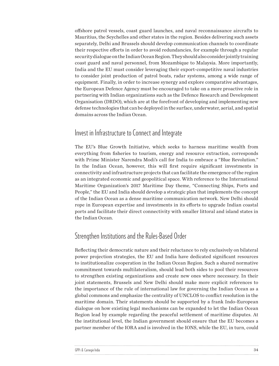offshore patrol vessels, coast guard launches, and naval reconnaissance aircrafts to Mauritius, the Seychelles and other states in the region. Besides delivering such assets separately, Delhi and Brussels should develop communication channels to coordinate their respective efforts in order to avoid redundancies, for example through a regular security dialogue on the Indian Ocean Region. They should also consider jointly training coast guard and naval personnel, from Mozambique to Malaysia. More importantly, India and the EU must consider leveraging their export-competitive naval industries to consider joint production of patrol boats, radar systems, among a wide range of equipment. Finally, in order to increase synergy and explore comparative advantages, the European Defence Agency must be encouraged to take on a more proactive role in partnering with Indian organizations such as the Defence Research and Development Organisation (DRDO), which are at the forefront of developing and implementing new defense technologies that can be deployed in the surface, underwater, aerial, and spatial domains across the Indian Ocean.

#### Invest in Infrastructure to Connect and Integrate

The EU's Blue Growth Initiative, which seeks to harness maritime wealth from everything from fisheries to tourism, energy and resource extraction, corresponds with Prime Minister Narendra Modi's call for India to embrace a "Blue Revolution." In the Indian Ocean, however, this will first require significant investments in connectivity and infrastructure projects that can facilitate the emergence of the region as an integrated economic and geopolitical space. With reference to the International Maritime Organization's 2017 Maritime Day theme, "Connecting Ships, Ports and People," the EU and India should develop a strategic plan that implements the concept of the Indian Ocean as a dense maritime communication network. New Delhi should rope in European expertise and investments in its efforts to upgrade Indian coastal ports and facilitate their direct connectivity with smaller littoral and island states in the Indian Ocean.

#### Strengthen Institutions and the Rules-Based Order

Reflecting their democratic nature and their reluctance to rely exclusively on bilateral power projection strategies, the EU and India have dedicated significant resources to institutionalize cooperation in the Indian Ocean Region. Such a shared normative commitment towards multilateralism, should lead both sides to pool their resources to strengthen existing organizations and create new ones where necessary. In their joint statements, Brussels and New Delhi should make more explicit references to the importance of the rule of international law for governing the Indian Ocean as a global commons and emphasize the centrality of UNCLOS to conflict resolution in the maritime domain. Their statements should be supported by a frank Indo-European dialogue on how existing legal mechanisms can be expanded to let the Indian Ocean Region lead by example regarding the peaceful settlement of maritime disputes. At the institutional level, the Indian government should ensure that the EU becomes a partner member of the IORA and is involved in the IONS, while the EU, in turn, could

| GPPi & Carnegie India |  |
|-----------------------|--|
|                       |  |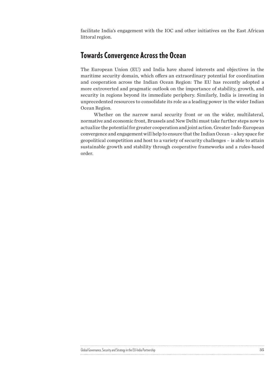facilitate India's engagement with the IOC and other initiatives on the East African littoral region.

#### Towards Convergence Across the Ocean

The European Union (EU) and India have shared interests and objectives in the maritime security domain, which offers an extraordinary potential for coordination and cooperation across the Indian Ocean Region: The EU has recently adopted a more extroverted and pragmatic outlook on the importance of stability, growth, and security in regions beyond its immediate periphery. Similarly, India is investing in unprecedented resources to consolidate its role as a leading power in the wider Indian Ocean Region.

Whether on the narrow naval security front or on the wider, multilateral, normative and economic front, Brussels and New Delhi must take further steps now to actualize the potential for greater cooperation and joint action. Greater Indo-European convergence and engagement will help to ensure that the Indian Ocean – a key space for geopolitical competition and host to a variety of security challenges – is able to attain sustainable growth and stability through cooperative frameworks and a rules-based order.

|                                                                    | . |
|--------------------------------------------------------------------|---|
| monce, Security and Strategy in the Ell-India Partis.<br>overnance |   |
|                                                                    |   |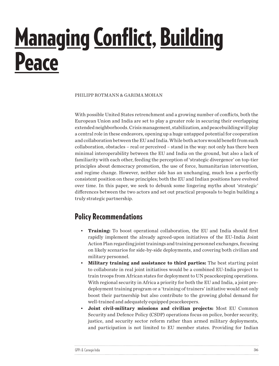## <span id="page-35-0"></span>Managing Conflict, Building **Peace**

PHILIPP ROTMANN & GARIMA MOHAN

With possible United States retrenchment and a growing number of conflicts, both the European Union and India are set to play a greater role in securing their overlapping extended neighborhoods. Crisis management, stabilization, and peacebuilding will play a central role in these endeavors, opening up a huge untapped potential for cooperation and collaboration between the EU and India. While both actors would benefit from such collaboration, obstacles – real or perceived – stand in the way: not only has there been minimal interoperability between the EU and India on the ground, but also a lack of familiarity with each other, feeding the perception of 'strategic divergence' on top-tier principles about democracy promotion, the use of force, humanitarian intervention, and regime change. However, neither side has an unchanging, much less a perfectly consistent position on these principles; both the EU and Indian positions have evolved over time. In this paper, we seek to debunk some lingering myths about 'strategic' differences between the two actors and set out practical proposals to begin building a truly strategic partnership.

### Policy Recommendations

- **Training:** To boost operational collaboration, the EU and India should first rapidly implement the already agreed-upon initiatives of the EU-India Joint Action Plan regarding joint trainings and training personnel exchanges, focusing on likely scenarios for side-by-side deployments, and covering both civilian and military personnel.
- **Military training and assistance to third parties:** The best starting point to collaborate in real joint initiatives would be a combined EU-India project to train troops from African states for deployment to UN peacekeeping operations. With regional security in Africa a priority for both the EU and India, a joint predeployment training program or a 'training of trainers' initiative would not only boost their partnership but also contribute to the growing global demand for well-trained and adequately equipped peacekeepers.
- **Joint civil-military missions and civilian projects:** Most EU Common Security and Defence Policy (CSDP) operations focus on police, border security, justice, and security sector reform rather than armed military deployments, and participation is not limited to EU member states. Providing for Indian

| GPPi & Carnegie India |  |
|-----------------------|--|
|                       |  |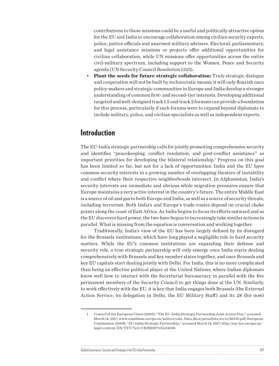contributions to these missions could be a useful and politically attractive option for the EU and India to encourage collaboration among civilian security experts, police, justice officials and unarmed military advisers. Electoral, parliamentary, and legal assistance missions or projects offer additional opportunities for civilian collaboration, while UN missions offer opportunities across the entire civil-military spectrum, including support to the Women, Peace and Security agenda (UN Security Council Resolution 1325).

• **Plant the seeds for future strategic collaboration:** Truly strategic dialogue and cooperation will not be built by technocratic means; it will only flourish once policy-makers and strategic communities in Europe and India develop a stronger understanding of common first- and second-tier interests. Developing additional targeted and well-designed track 1.5 and track 2 formats can provide a foundation for this process, particularly if such forums were to expand beyond diplomats to include military, police, and civilian specialists as well as independent experts.

### Introduction

The EU-India strategic partnership calls for jointly promoting comprehensive security and identifies "peacekeeping, conflict resolution, and post-conflict assistance" as important priorities for developing the bilateral relationship.1 Progress on this goal has been limited so far, but not for a lack of opportunities: India and the EU have common security interests in a growing number of overlapping theaters of instability and conflict where their respective neighborhoods intersect. In Afghanistan, India's security interests are immediate and obvious while migration pressures ensure that Europe maintains a very active interest in the country's future. The entire Middle East is a source of oil and gas to both Europe and India, as well as a source of security threats, including terrorism. Both India's and Europe's trade routes depend on crucial choke points along the coast of East Africa. As India begins to focus its efforts outward and as the EU discovers hard power, the two have begun to increasingly take similar actions in parallel. What is missing from the equation is conversation and working together.

Traditionally, India's view of the EU has been largely defined by its disregard for the Brussels institutions, which have long played a negligible role in hard security matters. While the EU's common institutions are expanding their defense and security role, a true strategic partnership will only emerge once India starts dealing comprehensively with Brussels and key member states together, and once Brussels and key EU capitals start dealing jointly with Delhi. For India, this is no more complicated than being an effective political player at the United Nations, where Indian diplomats know well how to interact with the Secretariat bureaucracy in parallel with the five permanent members of the Security Council to get things done at the UN. Similarly, to work effectively with the EU, it is key that India engages both Brussels (the External Action Service, its delegation in Delhi, the EU Military Staff) and its 28 (for now)

<sup>1</sup> Council of the European Union (2005), "The EU-India Strategic Partnership Joint Action Plan," accessed March 14, 2017, [www.consilium.europa.eu/ueDocs/cms\\_Data/docs/pressData/en/er/86130.pdf](http://www.consilium.europa.eu/ueDocs/cms_Data/docs/pressData/en/er/86130.pdf); European Commission (2008), "EU-India Strategic Partnership," accessed March 14, 2017, [http://eur-lex.europa.eu/](http://eur-lex.europa.eu/legal-content/EN/TXT/?uri=URISERV%3Ar14100) [legal-content/EN/TXT/?uri=URISERV%3Ar14100.](http://eur-lex.europa.eu/legal-content/EN/TXT/?uri=URISERV%3Ar14100)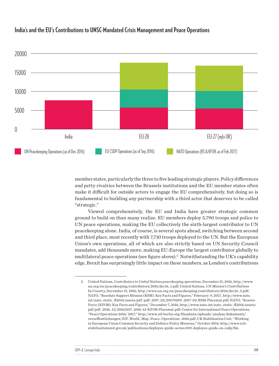

#### **India's and the EU's Contributions to UNSC-Mandated Crisis Management and Peace Operations**

member states, particularly the three to five leading strategic players. Policy differences and petty rivalries between the Brussels institutions and the EU member states often make it difficult for outside actors to engage the EU comprehensively, but doing so is fundamental to building any partnership with a third actor that deserves to be called "strategic."

Viewed comprehensively, the EU and India have greater strategic common ground to build on than many realize. EU members deploy 5,790 troops and police to UN peace operations, making the EU collectively the sixth-largest contributor to UN peacekeeping alone. India, of course, is several spots ahead, switching between second and third place, most recently with 7,710 troops deployed to the UN. But the European Union's own operations, all of which are also strictly based on UN Security Council mandates, add thousands more, making EU-Europe the largest contributor globally to multilateral peace operations (see figure above). $^2$  Notwithstanding the UK's capability edge, Brexit has surprisingly little impact on these numbers, as London's contributions

| GPPi & Carnegie India |  |
|-----------------------|--|
|                       |  |

<sup>2</sup> United Nations, *Contributors to United Nations peacekeeping operations*, December 31, 2016, [http://www.](http://www.un.org/en/peacekeeping/contributors/2016/dec16_1.pdf) [un.org/en/peacekeeping/contributors/2016/dec16\\_1.pdf](http://www.un.org/en/peacekeeping/contributors/2016/dec16_1.pdf); United Nations*, UN Mission's Contributions by Country*, December 31, 2016, [http://www.un.org/en/peacekeeping/contributors/2016/dec16\\_5.pdf;](http://www.un.org/en/peacekeeping/contributors/2016/dec16_5.pdf) NATO, "Resolute Support Mission (RSM): Key Facts and Figures," February 9, 2017, [http://www.nato.](http://www.nato.int/nato_static_fl2014/assets/pdf /pdf_2017_02/20170209_2017-02-RSM-Placemat.pdf) [int/nato\\_static\\_fl2014/assets/pdf /pdf\\_2017\\_02/20170209\\_2017-02-RSM-Placemat.pdf](http://www.nato.int/nato_static_fl2014/assets/pdf /pdf_2017_02/20170209_2017-02-RSM-Placemat.pdf); NATO, "Kosovo Force (KFOR): Key Facts and Figures," December 7, 2016, [http://www.nato.int/nato\\_static\\_fl2014/assets/](http://www.nato.int/nato_static_fl2014/assets/pdf/pdf_2016_12/20161207_2016-12-KFOR-Placemat.pdf) [pdf/pdf\\_2016\\_12/20161207\\_2016-12-KFOR-Placemat.pdf](http://www.nato.int/nato_static_fl2014/assets/pdf/pdf_2016_12/20161207_2016-12-KFOR-Placemat.pdf); Center for International Peace Operations, "Peace Operations 2016/ 2017," [http://www.zif-berlin.org/fileadmin/uploads/ analyse/dokumente/](http://www.zif-berlin.org/fileadmin/uploads/ analyse/dokumente/veroeffentlichungen/ZIF_World_Map_Peace_Operations_2016.pdf) [veroeffentlichungen/ZIF\\_World\\_Map\\_Peace\\_Operations\\_2016.pdf;](http://www.zif-berlin.org/fileadmin/uploads/ analyse/dokumente/veroeffentlichungen/ZIF_World_Map_Peace_Operations_2016.pdf) UK Stabilisation Unit, "Working in European Union Common Security and Defence Policy Missions," October 2014, [http://www.sclr.](http://www.sclr.stabilisationunit.gov.uk/publications/deployee-guide-series/493-deployee-guide-eu-csdp/file) [stabilisationunit.gov.uk/publications/deployee-guide-series/493-deployee-guide-eu-csdp/file.](http://www.sclr.stabilisationunit.gov.uk/publications/deployee-guide-series/493-deployee-guide-eu-csdp/file)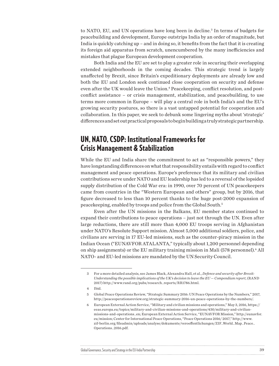to NATO, EU, and UN operations have long been in decline.<sup>3</sup> In terms of budgets for peacebuilding and development, Europe outstrips India by an order of magnitude, but India is quickly catching up – and in doing so, it benefits from the fact that it is creating its foreign aid apparatus from scratch, unencumbered by the many inefficiencies and mistakes that plague European development cooperation.

Both India and the EU are set to play a greater role in securing their overlapping extended neighborhoods in the coming decades. This strategic trend is largely unaffected by Brexit, since Britain's expeditionary deployments are already low and both the EU and London seek continued close cooperation on security and defense even after the UK would leave the Union.<sup>4</sup> Peacekeeping, conflict resolution, and postconflict assistance – or crisis management, stabilization, and peacebuilding, to use terms more common in Europe – will play a central role in both India's and the EU's growing security postures, so there is a vast untapped potential for cooperation and collaboration. In this paper, we seek to debunk some lingering myths about 'strategic' differences and set out practical proposals to begin building a truly strategic partnership.

#### UN, NATO, CSDP: Institutional Frameworks for Crisis Management & Stabilization

While the EU and India share the commitment to act as "responsible powers," they have longstanding differences on what that responsibility entails with regard to conflict management and peace operations. Europe's preference that its military and civilian contributions serve under NATO and EU leadership has led to a reversal of the lopsided supply distribution of the Cold War era: in 1990, over 70 percent of UN peacekeepers came from countries in the "Western European and others" group, but by 2016, that figure decreased to less than 10 percent thanks to the huge post-2000 expansion of peacekeeping, enabled by troops and police from the Global South.5

Even after the UN missions in the Balkans, EU member states continued to expand their contributions to peace operations – just not through the UN. Even after large reductions, there are still more than 4,000 EU troops serving in Afghanistan under NATO's Resolute Support mission. Almost 5,000 additional soldiers, police, and civilians are serving in 17 EU-led missions, such as the counter-piracy mission in the Indian Ocean ("EUNAVFOR ATALANTA," typically about 1,200 personnel depending on ship assignments) or the EU military training mission in Mali (578 personnel).<sup>6</sup> All NATO- and EU-led missions are mandated by the UN Security Council.

<sup>6</sup> European External Action Service, "Military and civilian missions and operations," May 3, 2016, [https://](https://eeas.europa.eu/topics/military-and-civilian-missions-and-operations/430/military-and-civilian-missions-and-operations_en) [eeas.europa.eu/topics/military-and-civilian-missions-and-operations/430/military-and-civilian](https://eeas.europa.eu/topics/military-and-civilian-missions-and-operations/430/military-and-civilian-missions-and-operations_en)[missions-and-operations\\_en;](https://eeas.europa.eu/topics/military-and-civilian-missions-and-operations/430/military-and-civilian-missions-and-operations_en) European External Action Service, "EUNAVFOR Mission," [http://eunavfor.](http://eunavfor.eu/mission) [eu/mission](http://eunavfor.eu/mission); Center for International Peace Operations, "Peace Operations 2016/ 2017," [http://www.](http://www.zif-berlin.org/fileadmin/uploads/analyse/dokumente/veroeffentlichungen/ZIF_World_Map_Peace_Operations_2016.pdf) [zif-berlin.org/fileadmin/uploads/analyse/dokumente/veroeffentlichungen/ZIF\\_World\\_Map\\_Peace\\_](http://www.zif-berlin.org/fileadmin/uploads/analyse/dokumente/veroeffentlichungen/ZIF_World_Map_Peace_Operations_2016.pdf) [Operations\\_2016.pdf.](http://www.zif-berlin.org/fileadmin/uploads/analyse/dokumente/veroeffentlichungen/ZIF_World_Map_Peace_Operations_2016.pdf)

| Global Governance, Security and Strategy in the EU-India Partnership |  |
|----------------------------------------------------------------------|--|
|                                                                      |  |

<sup>3</sup> For a more detailed analysis, see James Black, Alexandra Hall, et al., *Defence and security after Brexit: Understanding the possible implications of the UK's decision to leave the EU — Compendium report*, (RAND 2017) [http://www.rand.org/pubs/research\\_reports/RR1786.html.](http://www.rand.org/pubs/research_reports/RR1786.html)

<sup>4</sup> Ibid.

<sup>5</sup> Global Peace Operations Review, "Strategic Summary 2016: UN Peace Operations by the Numbers," 2017, [http://peaceoperationsreview.org/strategic-summary-2016-un-peace-operations-by-the-numbers/.](http://peaceoperationsreview.org/strategic-summary-2016-un-peace-operations-by-the-numbers/)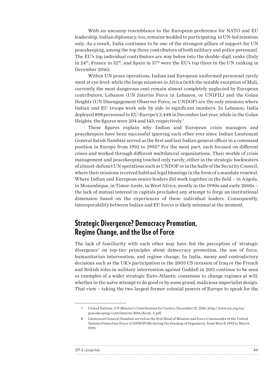With an uncanny resemblance to the European preference for NATO and EU leadership, Indian diplomacy, too, remains wedded to participating in UN-led missions only. As a result, India continues to be one of the strongest pillars of support for UN peacekeeping, among the top three contributors of both military and police personnel. The EU's top individual contributors are way below into the double-digit ranks (Italy in 24<sup>th</sup>, France in 32<sup>th</sup>, and Spain in 37<sup>th</sup> were the EU's top three in the UN ranking in December 2016).

Within UN peace operations, Indian and European uniformed personnel rarely meet at eye level: while the large missions in Africa (with the notable exception of Mali, currently the most dangerous one) remain almost completely neglected by European contributors, Lebanon (UN Interim Force in Lebanon, or UNIFIL) and the Golan Heights (UN Disengagement Observer Force, or UNDOF) are the only missions where Indian and EU troops work side by side in significant numbers. In Lebanon, India deployed 898 personnel to EU-Europe's 3,448 in December last year, while in the Golan Heights, the figures were 204 and 143, respectively.7

These figures explain why Indian and European crisis managers and peacekeepers have been successful ignoring each other ever since Indian Lieutenant General Satish Nambiar served as the first and last Indian general officer in a command position in Europe from 1992 to 1993:<sup>8</sup> For the most part, each focused on different crises and worked through different multilateral organizations. Their worlds of crisis management and peacekeeping touched only rarely, either in the strategic backwaters of almost-defunct UN operations such as UNDOF or in the halls of the Security Council, where their missions received habitual legal blessings in the form of a mandate renewal. Where Indian and European senior leaders did work together in the field – in Angola, in Mozambique, in Timor-Leste, in West Africa, mostly in the 1990s and early 2000s – the lack of mutual interest in capitals precluded any attempt to forge an institutional dimension based on the experiences of these individual leaders. Consequently, interoperability between Indian and EU forces is likely minimal at the moment.

#### Strategic Divergence? Democracy Promotion, Regime Change, and the Use of Force

The lack of familiarity with each other may have fed the perception of 'strategic divergence' on top-tier principles about democracy promotion, the use of force, humanitarian intervention, and regime change. In India, messy and contradictory decisions such as the UK's participation in the 2003 US invasion of Iraq or the French and British roles in military intervention against Gaddafi in 2011 continue to be seen as examples of a wider strategic Euro-Atlantic consensus to change regimes at will, whether in the naïve attempt to do good or by some grand, malicious imperialist design. That view – taking the two largest former colonial powers of Europe to speak for the

| GPPi & |  |
|--------|--|
|        |  |

<sup>7</sup> United Nations, *UN Mission's Contributions by Country*, December 31, 2016, [http://www.un.org/en/](http://www.un.org/en/peacekeeping/contributors/2016/dec16_5.pdf) [peacekeeping/contributors/2016/dec16\\_5.pdf.](http://www.un.org/en/peacekeeping/contributors/2016/dec16_5.pdf)

<sup>8</sup> Lieutenant General Nambiar served as the first Head of Mission and Force Commander of the United Nations Protection Force (UNPROFOR) during the breakup of Yugoslavia, from March 1992 to March 1993.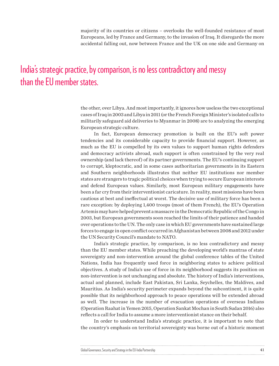majority of its countries or citizens – overlooks the well-founded resistance of most Europeans, led by France and Germany, to the invasion of Iraq. It disregards the more accidental falling out, now between France and the UK on one side and Germany on

### India's strategic practice, by comparison, is no less contradictory and messy than the EU member states.

the other, over Libya. And most importantly, it ignores how useless the two exceptional cases of Iraq in 2003 and Libya in 2011 (or the French Foreign Minister's isolated calls to militarily safeguard aid deliveries to Myanmar in 2008) are to analyzing the emerging European strategic culture.

In fact, European democracy promotion is built on the EU's soft power tendencies and its considerable capacity to provide financial support. However, as much as the EU is compelled by its own values to support human rights defenders and democracy activists abroad, such support is often constrained by the very real ownership (and lack thereof) of its partner governments. The EU's continuing support to corrupt, kleptocratic, and in some cases authoritarian governments in its Eastern and Southern neighborhoods illustrates that neither EU institutions nor member states are strangers to tragic political choices when trying to secure European interests and defend European values. Similarly, most European military engagements have been a far cry from their interventionist caricature. In reality, most missions have been cautious at best and ineffectual at worst. The decisive use of military force has been a rare exception: by deploying 1,400 troops (most of them French), the EU's Operation Artemis may have helped prevent a massacre in the Democratic Republic of the Congo in 2003, but European governments soon reached the limits of their patience and handed over operations to the UN. The only case in which EU governments have sustained large forces to engage in open conflict occurred in Afghanistan between 2008 and 2012 under the UN Security Council's mandate to NATO.

India's strategic practice, by comparison, is no less contradictory and messy than the EU member states. While preaching the developing world's mantras of state sovereignty and non-intervention around the global conference tables of the United Nations, India has frequently used force in neighboring states to achieve political objectives. A study of India's use of force in its neighborhood suggests its position on non-intervention is not unchanging and absolute. The history of India's interventions, actual and planned, include East Pakistan, Sri Lanka, Seychelles, the Maldives, and Mauritius. As India's security perimeter expands beyond the subcontinent, it is quite possible that its neighborhood approach to peace operations will be extended abroad as well. The increase in the number of evacuation operations of overseas Indians (Operation Raahat in Yemen 2015, Operation Sankat Mochan in South Sudan 2016) also reflects a call for India to assume a more interventionist stance on their behalf.

In order to understand India's strategic practice, it is important to note that the country's emphasis on territorial sovereignty was borne out of a historic moment

| Global Governance, Security and Strategy in the EU-India Partnership |  |
|----------------------------------------------------------------------|--|
|                                                                      |  |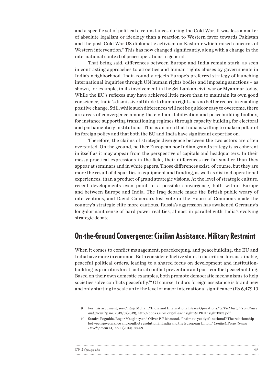and a specific set of political circumstances during the Cold War. It was less a matter of absolute legalism or ideology than a reaction to Western favor towards Pakistan and the post-Cold War US diplomatic activism on Kashmir which raised concerns of Western intervention.<sup>9</sup> This has now changed significantly, along with a change in the international context of peace operations in general.

That being said, differences between Europe and India remain stark, as seen in contrasting approaches to atrocities and human rights abuses by governments in India's neighborhood. India roundly rejects Europe's preferred strategy of launching international inquiries through UN human rights bodies and imposing sanctions – as shown, for example, in its involvement in the Sri Lankan civil war or Myanmar today. While the EU's reflexes may have achieved little more than to maintain its own good conscience, India's dismissive attitude to human rights has no better record in enabling positive change. Still, while such differences will not be quick or easy to overcome, there are areas of convergence among the civilian stabilization and peacebuilding toolbox, for instance supporting transitioning regimes through capacity building for electoral and parliamentary institutions. This is an area that India is willing to make a pillar of its foreign policy and that both the EU and India have significant expertise on.

Therefore, the claims of strategic divergence between the two actors are often overstated. On the ground, neither European nor Indian grand strategy is as coherent in itself as it may appear from the perspective of capitals and headquarters. In their messy practical expressions in the field, their differences are far smaller than they appear at seminars and in white papers. Those differences exist, of course, but they are more the result of disparities in equipment and funding, as well as distinct operational experiences, than a product of grand strategic visions. At the level of strategic culture, recent developments even point to a possible convergence, both within Europe and between Europe and India. The Iraq debacle made the British public weary of interventions, and David Cameron's lost vote in the House of Commons made the country's strategic elite more cautious. Russia's aggression has awakened Germany's long-dormant sense of hard power realities, almost in parallel with India's evolving strategic debate.

#### On-the-Ground Convergence: Civilian Assistance, Military Restraint

When it comes to conflict management, peacekeeping, and peacebuilding, the EU and India have more in common. Both consider effective states to be critical for sustainable, peaceful political orders, leading to a shared focus on development and institutionbuilding as priorities for structural conflict prevention and post-conflict peacebuilding. Based on their own domestic examples, both promote democratic mechanisms to help societies solve conflicts peacefully.<sup>10</sup> Of course, India's foreign assistance is brand new and only starting to scale up to the level of major international significance (Rs 6,479.13

#### GPPi & Carnegie India 42

<sup>9</sup> For this argument, see C. Raja Mohan, "India and International Peace Operations," *SIPRI Insights on Peace and Security*, no. 2013/3 (2013), [http://books.sipri.org/files/insight/SIPRIInsight1303.pdf.](http://books.sipri.org/files/insight/SIPRIInsight1303.pdf)

<sup>10</sup> Sandra Pogodda, Roger Macginty and Oliver P. Richmond, "Intimate yet dysfunctional? The relationship between governance and conflict resolution in India and the European Union," *Conflict, Security and Development* 14, no. 1 (2014): 33-59.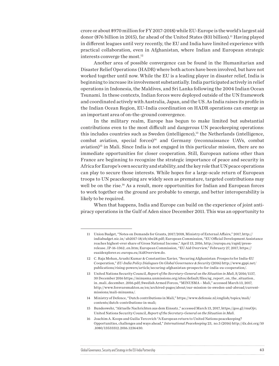crore or about \$970 million for FY 2017-2018) while EU-Europe is the world's largest aid donor (\$76 billion in 2015), far ahead of the United States (\$31 billion).<sup>11</sup> Having played in different leagues until very recently, the EU and India have limited experience with practical collaboration, even in Afghanistan, where Indian and European strategic interests converge the most.<sup>12</sup>

Another area of possible convergence can be found in the Humanitarian and Disaster Relief Operations (HADR) where both actors have been involved, but have not worked together until now. While the EU is a leading player in disaster relief, India is beginning to increase its involvement substantially. India participated actively in relief operations in Indonesia, the Maldives, and Sri Lanka following the 2004 Indian Ocean Tsunami. In these contexts, Indian forces were deployed outside of the UN framework and coordinated actively with Australia, Japan, and the US. As India raises its profile in the Indian Ocean Region, EU-India coordination on HADR operations can emerge as an important area of on-the-ground convergence.

In the military realm, Europe has begun to make limited but substantial contributions even to the most difficult and dangerous UN peacekeeping operations: this includes countries such as Sweden (intelligence), $13$  the Netherlands (intelligence, combat aviation, special forces)<sup>14</sup> and Germany (reconnaissance UAVs, combat aviation)<sup>15</sup> in Mali. Since India is not engaged in this particular mission, there are no immediate opportunities for closer cooperation. Still, European nations other than France are beginning to recognize the strategic importance of peace and security in Africa for Europe's own security and stability, and the key role that UN peace operations can play to secure those interests. While hopes for a large-scale return of European troops to UN peacekeeping are widely seen as premature, targeted contributions may well be on the rise.<sup>16</sup> As a result, more opportunities for Indian and European forces to work together on the ground are probable to emerge, and better interoperability is likely to be required.

When that happens, India and Europe can build on the experience of joint antipiracy operations in the Gulf of Aden since December 2011. This was an opportunity to

| Global Governance, Security and Strategy in the EU-India Partnership |  |
|----------------------------------------------------------------------|--|
|                                                                      |  |

<sup>11</sup> Union Budget, "Notes on Demands for Grants, 2017/2018, Ministry of External Affairs," [2017, http://](2017, http://indiabudget.nic.in/ ub2017-18/eb/sbe28.pdf) [indiabudget.nic.in/ ub2017-18/eb/sbe28.pdf;](2017, http://indiabudget.nic.in/ ub2017-18/eb/sbe28.pdf) European Commission, "EU Official Development Assistance reaches highest-ever share of Gross National Income," April 13, 2016, [http://europa.eu/rapid/press](http://europa.eu/rapid/press-release_IP-16-1362_en.htm)[release\\_IP-16-1362\\_en.htm;](http://europa.eu/rapid/press-release_IP-16-1362_en.htm) European Commission, "EU Aid Overview," February 27, 2017, [https://](https://euaidexplorer.ec.europa.eu/AidOverview.do) [euaidexplorer.ec.europa.eu/AidOverview.do](https://euaidexplorer.ec.europa.eu/AidOverview.do).

<sup>12</sup> C. Raja Mohan, Arushi Kumar & Constantino Xavier, "Securing Afghanistan: Prospects for India-EU Cooperation," *EU-India Policy Dialogues On Global Governance & Security* (2016) [http://www.gppi.net/](http://www.gppi.net/publications/rising-powers/article/securing-afghanistan-prospects-for-india-eu-cooperation/) [publications/rising-powers/article/securing-afghanistan-prospects-for-india-eu-cooperation/.](http://www.gppi.net/publications/rising-powers/article/securing-afghanistan-prospects-for-india-eu-cooperation/)

<sup>13</sup> United Nations Security Council, *Report of the Secretary-General on the Situation in Mali*, S/2016/1137, 30 December 2016 [https://minusma.unmissions.org/sites/default/files/sg\\_report\\_on\\_the\\_situation\\_](https://minusma.unmissions.org/sites/default/files/sg_report_on_the_situation_in_mali_december_2016.pdf) [in\\_mali\\_december\\_2016.pdf](https://minusma.unmissions.org/sites/default/files/sg_report_on_the_situation_in_mali_december_2016.pdf); Swedish Armed Forces, "MINUSMA – Mali," accessed March 13, 2017, [http://www.forsvarsmakten.se/en/archived-pages/about/our-mission-in-sweden-and-abroad/current](http://www.forsvarsmakten.se/en/archived-pages/about/our-mission-in-sweden-and-abroad/current-missions/mali-minusma/)[missions/mali-minusma/](http://www.forsvarsmakten.se/en/archived-pages/about/our-mission-in-sweden-and-abroad/current-missions/mali-minusma/).

<sup>14</sup> Ministry of Defence, "Dutch contributions in Mali," [https://www.defensie.nl/english/topics/mali/](https://www.defensie.nl/english/topics/mali/contents/dutch-contributions-in-mali) [contents/dutch-contributions-in-mali](https://www.defensie.nl/english/topics/mali/contents/dutch-contributions-in-mali);

<sup>15</sup> Bundeswehr, "Aktuelle Nachrichten aus dem Einsatz ," accessed March 13, 2017, <https://goo.gl/rnuOjv>; United Nations Security Council, *Report of the Secretary-General on the Situation in Mali*.

<sup>16</sup> Joachim A. Koops and Guilia Tercovich "A European return to United Nations peacekeeping? Opportunities, challenges and ways ahead," *International Peacekeeping* 23, no.5 (2016) [http://dx.doi.org/10](http://dx.doi.org/10.1080/13533312.2016.1236430) [.1080/13533312.2016.1236430](http://dx.doi.org/10.1080/13533312.2016.1236430).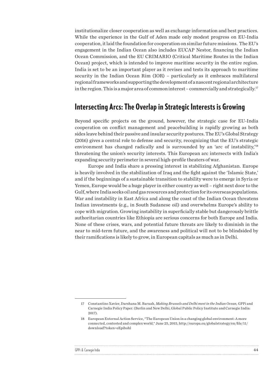institutionalize closer cooperation as well as exchange information and best practices. While the experience in the Gulf of Aden made only modest progress on EU-India cooperation, it laid the foundation for cooperation on similar future missions. The EU's engagement in the Indian Ocean also includes EUCAP Nestor, financing the Indian Ocean Commission, and the EU CRIMARIO (Critical Maritime Routes in the Indian Ocean) project, which is intended to improve maritime security in the entire region. India is set to be an important player as it revises and tests its approach to maritime security in the Indian Ocean Rim (IOR) – particularly as it embraces multilateral regional frameworks and supporting the development of a nascent regional architecture in the region. This is a major area of common interest – commercially and strategically.<sup>17</sup>

#### Intersecting Arcs: The Overlap in Strategic Interests is Growing

Beyond specific projects on the ground, however, the strategic case for EU-India cooperation on conflict management and peacebuilding is rapidly growing as both sides leave behind their passive and insular security postures. The EU's Global Strategy (2016) gives a central role to defense and security, recognizing that the EU's strategic environment has changed radically and is surrounded by an 'arc of instability,'<sup>18</sup> threatening the union's security interests. This European arc intersects with India's expanding security perimeter in several high-profile theaters of war.

Europe and India share a pressing interest in stabilizing Afghanistan. Europe is heavily involved in the stabilization of Iraq and the fight against the 'Islamic State,' and if the beginnings of a sustainable transition to stability were to emerge in Syria or Yemen, Europe would be a huge player in either country as well – right next door to the Gulf, where India seeks oil and gas resources and protection for its overseas populations. War and instability in East Africa and along the coast of the Indian Ocean threatens Indian investments (e.g., in South Sudanese oil) and overwhelms Europe's ability to cope with migration. Growing instability in superficially stable but dangerously brittle authoritarian countries like Ethiopia are serious concerns for both Europe and India. None of these crises, wars, and potential future threats are likely to diminish in the near to mid-term future, and the awareness and political will not to be blindsided by their ramifications is likely to grow, in European capitals as much as in Delhi.

| GPPi & |  |
|--------|--|
|        |  |

<sup>17</sup> Constantino Xavier, Darshana M. Baruah, *Making Brussels and Delhi meet in the Indian Ocean,* GPPi and Carnegie India Policy Paper. (Berlin and New Delhi, Global Public Policy Institute and Carnegie India: 2017).

<sup>18</sup> European External Action Service, "The European Union in a changing global environment: A more connected, contested and complex world," June 25, 2015, [http://europa.eu/globalstrategy/en/file/11/](http://europa.eu/globalstrategy/en/file/11/download?token=eEpibohl) [download?token=eEpibohl](http://europa.eu/globalstrategy/en/file/11/download?token=eEpibohl)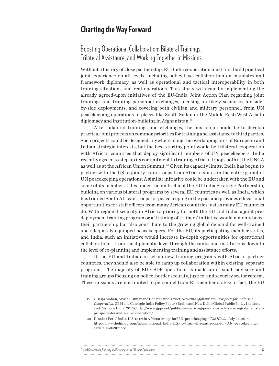#### Charting the Way Forward

### Boosting Operational Collaboration: Bilateral Trainings, Trilateral Assistance, and Working Together in Missions

Without a history of close partnership, EU-India cooperation must first build practical joint experience on all levels, including policy-level collaboration on mandates and framework diplomacy, as well as operational and tactical interoperability in both training situations and real operations. This starts with rapidly implementing the already agreed-upon initiatives of the EU-India Joint Action Plan regarding joint trainings and training personnel exchanges, focusing on likely scenarios for sideby-side deployments, and covering both civilian and military personnel, from UN peacekeeping operations in places like South Sudan or the Middle East/West Asia to diplomacy and institution-building in Afghanistan.19

After bilateral trainings and exchanges, the next step should be to develop practical joint projects on common priorities for training and assistance to third parties. Such projects could be designed anywhere along the overlapping arcs of European and Indian strategic interests, but the best starting point would be trilateral cooperation with African countries that deploy significant numbers of UN peacekeepers. India recently agreed to step up its commitment to training African troops both at the UNGA as well as at the African Union Summit.20 Given its capacity limits, India has begun to partner with the US to jointly train troops from African states in the entire gamut of UN peacekeeping operations. A similar initiative could be undertaken with the EU and some of its member states under the umbrella of the EU-India Strategic Partnership, building on various bilateral programs by several EU countries as well as India, which has trained South African troops for peacekeeping in the past and provides educational opportunities for staff officers from many African countries just as many EU countries do. With regional security in Africa a priority for both the EU and India, a joint predeployment training program or a 'training of trainers' initiative would not only boost their partnership but also contribute to the growing global demand for well-trained and adequately equipped peacekeepers. For the EU, its participating member states, and India, such an initiative would increase in-depth opportunities for operational collaboration – from the diplomatic level through the ranks and institutions down to the level of co-planning and implementing training and assistance efforts.

If the EU and India can set up new training programs with African partner countries, they should also be able to ramp up collaboration within existing, separate programs. The majority of EU CSDP operations is made up of small advisory and training groups focusing on police, border security, justice, and security sector reform. These missions are not limited to personnel from EU member states; in fact, the EU

<sup>19</sup> C. Raja Mohan, Arushi Kumar and Constantino Xavier, *Securing Afghanistan: Prospects for India-EU Cooperation*, GPPi and Carnegie India Policy Paper. (Berlin and New Delhi: Global Public Policy Institute and Carnegie India, 2016), [http://www.gppi.net/publications/rising-powers/article/securing-afghanistan](http://www.gppi.net/publications/rising-powers/article/securing-afghanistan-prospects-for-india-eu-cooperation/)[prospects-for-india-eu-cooperation/.](http://www.gppi.net/publications/rising-powers/article/securing-afghanistan-prospects-for-india-eu-cooperation/)

<sup>20</sup> Dinakar Peri ,"India, U.S. to train African troops for U.N. peacekeeping," *The Hindu*, July 24, 2016. [http://www.thehindu.com/news/national/India-U.S.-to-train-African-troops-for-U.N.-peacekeeping/](http://www.thehindu.com/news/national/India-U.S.-to-train-African-troops-for-U.N.-peacekeeping/article14504907.ece) [article14504907.ece.](http://www.thehindu.com/news/national/India-U.S.-to-train-African-troops-for-U.N.-peacekeeping/article14504907.ece)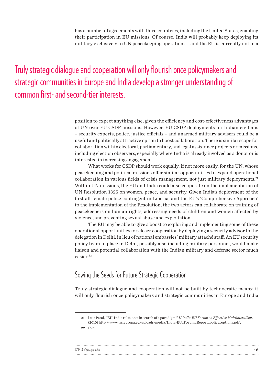has a number of agreements with third countries, including the United States, enabling their participation in EU missions. Of course, India will probably keep deploying its military exclusively to UN peacekeeping operations – and the EU is currently not in a

Truly strategic dialogue and cooperation will only flourish once policymakers and strategic communities in Europe and India develop a stronger understanding of common first- and second-tier interests.

> position to expect anything else, given the efficiency and cost-effectiveness advantages of UN over EU CSDP missions. However, EU CSDP deployments for Indian civilians – security experts, police, justice officials – and unarmed military advisers could be a useful and politically attractive option to boost collaboration. There is similar scope for collaboration within electoral, parliamentary, and legal assistance projects or missions, including election observers, especially where India is already involved as a donor or is interested in increasing engagement.

> What works for CSDP should work equally, if not more easily, for the UN, whose peacekeeping and political missions offer similar opportunities to expand operational collaboration in various fields of crisis management, not just military deployments.21 Within UN missions, the EU and India could also cooperate on the implementation of UN Resolution 1325 on women, peace, and security. Given India's deployment of the first all-female police contingent in Liberia, and the EU's 'Comprehensive Approach' to the implementation of the Resolution, the two actors can collaborate on training of peacekeepers on human rights, addressing needs of children and women affected by violence, and preventing sexual abuse and exploitation.

> The EU may be able to give a boost to exploring and implementing some of these operational opportunities for closer cooperation by deploying a security advisor to the delegation in Delhi, in lieu of national embassies' military attaché staff. An EU security policy team in place in Delhi, possibly also including military personnel, would make liaison and potential collaboration with the Indian military and defense sector much easier.22

#### Sowing the Seeds for Future Strategic Cooperation

Truly strategic dialogue and cooperation will not be built by technocratic means; it will only flourish once policymakers and strategic communities in Europe and India

| GPPi & Carnegie India |  |
|-----------------------|--|
|                       |  |

<sup>21</sup> Luis Peral, "EU-India relations: in search of a paradigm," *II India-EU Forum on Effective Multilateralism*, (2010) [http://www.iss.europa.eu/uploads/media/India-EU\\_Forum\\_Report\\_policy\\_options.pdf](http://www.iss.europa.eu/uploads/media/India-EU_Forum_Report_policy_options.pdf) .

<sup>22</sup> Ibid.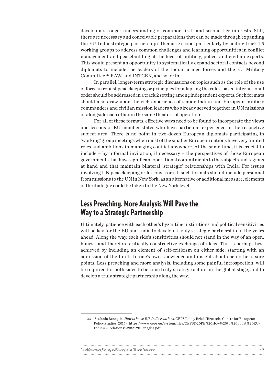develop a stronger understanding of common first- and second-tier interests. Still, there are necessary and conceivable preparations that can be made through expanding the EU-India strategic partnership's thematic scope, particularly by adding track 1.5 working groups to address common challenges and learning opportunities in conflict management and peacebuilding at the level of military, police, and civilian experts. This would present an opportunity to systematically expand sectoral contacts beyond diplomats to include the leaders of the Indian armed forces and the EU Military Committee,<sup>23</sup> RAW, and INTCEN, and so forth.

In parallel, longer-term strategic discussions on topics such as the role of the use of force in robust peacekeeping or principles for adapting the rules-based international order should be addressed in a track 2 setting among independent experts. Such formats should also draw upon the rich experience of senior Indian and European military commanders and civilian mission leaders who already served together in UN missions or alongside each other in the same theaters of operation.

For all of these formats, effective ways need to be found to incorporate the views and lessons of EU member states who have particular experience in the respective subject area. There is no point in two-dozen European diplomats participating in 'working' group meetings when most of the smaller European nations have very limited roles and ambitions in managing conflict anywhere. At the same time, it is crucial to include – by informal invitation, if necessary – the perspectives of those European governments that have significant operational commitments to the subjects and regions at hand and that maintain bilateral 'strategic' relationships with India. For issues involving UN peacekeeping or lessons from it, such formats should include personnel from missions to the UN in New York; as an alternative or additional measure, elements of the dialogue could be taken to the New York level.

#### Less Preaching, More Analysis Will Pave the Way to a Strategic Partnership

Ultimately, patience with each other's byzantine institutions and political sensitivities will be key for the EU and India to develop a truly strategic partnership in the years ahead. Along the way, each side's sensitivities should not stand in the way of an open, honest, and therefore critically constructive exchange of ideas. This is perhaps best achieved by including an element of self-criticism on either side, starting with an admission of the limits to one's own knowledge and insight about each other's sore points. Less preaching and more analysis, including some painful introspection, will be required for both sides to become truly strategic actors on the global stage, and to develop a truly strategic partnership along the way.

#### Global Governance, Security and Strategy in the EU-India Partnership 47 and the strategy in the EU-India Partnership 47

<sup>23</sup> Stefania Benaglia, *How to boost EU-India relations*, CEPS Policy Brief. (Brussels: Centre for European Policy Studies, 2016), [https://www.ceps.eu/system/files/CEPS%20PB%20How%20to%20boost%20EU-](https://www.ceps.eu/system/files/CEPS PB How to boost EU-India relations S Benaglia.pdf)[India%20relations%20S%20Benaglia.pdf](https://www.ceps.eu/system/files/CEPS PB How to boost EU-India relations S Benaglia.pdf).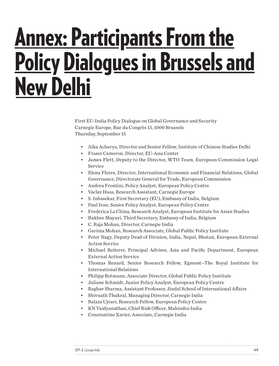## <span id="page-47-0"></span>Annex: Participants From the Policy Dialogues in Brussels and New Delhi

First EU-India Policy Dialogue on Global Governance and Security Carnegie Europe, Rue du Congrès 15, 1000 Brussels Thursday, September 15

- Alka Acharya, Director and Senior Fellow, Institute of Chinese Studies Delhi
- Fraser Cameron, Director, EU-Asia Center
- James Flett, Deputy to the Director, WTO Team, European Commission Legal Service
- Elena Flores, Director, International Economic and Financial Relations, Global Governance, Directorate General for Trade, European Commission
- Andrea Frontini, Policy Analyst, European Policy Centre
- Vaclav Haas, Research Assistant, Carnegie Europe
- S. Inbasekar, First Secretary (EU), Embassy of India, Belgium
- Paul Ivan, Senior Policy Analyst, European Policy Centre
- Frederica La China, Research Analyst, European Institute for Asian Studies
- Rakhee Mayuri, Third Secretary, Embassy of India, Belgium
- C. Raja Mohan, Director, Carnegie India
- Garima Mohan, Research Associate, Global Public Policy Institute
- Peter Nagy, Deputy Dead of Division, India, Nepal, Bhutan, European External Action Service
- Michael Reiterer, Principal Advisor, Asia and Pacific Department, European External Action Service
- Thomas Renard, Senior Research Fellow, Egmont—The Royal Institute for International Relations
- Philipp Rotmann, Associate Director, Global Public Policy Institute
- Juliane Schmidt, Junior Policy Analyst, European Policy Centre
- Raghav Sharma, Assistant Professor, Jindal School of International Affairs
- Shivnath Thukral, Managing Director, Carnegie India
- Balazs Ujvari, Research Fellow, European Policy Centre
- KN Vaidyanathan, Chief Risk Officer, Mahindra India
- Constantino Xavier, Associate, Carnegie India

| GPPi & Carnegie India |  |
|-----------------------|--|
|                       |  |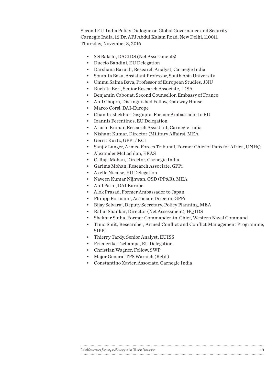Second EU-India Policy Dialogue on Global Governance and Security Carnegie India, 12 Dr. APJ Abdul Kalam Road, New Delhi, 110011 Thursday, November 3, 2016

- S S Bakshi, DACIDS (Net Assessments)
- Duccio Bandini, EU Delegation
- Darshana Baruah, Research Analyst, Carnegie India
- Soumita Basu, Assistant Professor, South Asia University
- Ummu Salma Bava, Professor of European Studies, JNU
- Ruchita Beri, Senior Research Associate, IDSA
- Benjamin Cabouat, Second Counsellor, Embassy of France
- Anil Chopra, Distinguished Fellow, Gateway House
- Marco Corsi, DAI-Europe
- Chandrashekhar Dasgupta, Former Ambassador to EU
- Ioannis Ferentinos, EU Delegation
- Arushi Kumar, Research Assistant, Carnegie India
- Nishant Kumar, Director (Military Affairs), MEA
- Gerrit Kurtz, GPPi / KCl
- Sanjiv Langer, Armed Forces Tribunal, Former Chief of Pans for Africa, UNHQ
- Alexander McLachlan, EEAS
- C. Raja Mohan, Director, Carnegie India
- Garima Mohan, Research Associate, GPPi
- Axelle Nicaise, EU Delegation
- Naveen Kumar Nijhwan, OSD (PP&R), MEA
- Anil Patni, DAI Europe
- Alok Prasad, Former Ambassador to Japan
- Philipp Rotmann, Associate Director, GPPi
- Bijay Selvaraj, Deputy Secretary, Policy Planning, MEA
- Rahul Shankar, Director (Net Assessment), HQ IDS
- Shekhar Sinha, Former Commander-in-Chief, Western Naval Command
- Timo Smit, Researcher, Armed Conflict and Conflict Management Programme, SIPRI

- Thierry Tardy, Senior Analyst, EUISS
- Friederike Tschampa, EU Delegation
- Christian Wagner, Fellow, SWP
- Major General TPS Waraich (Retd.)
- Constantino Xavier, Associate, Carnegie India